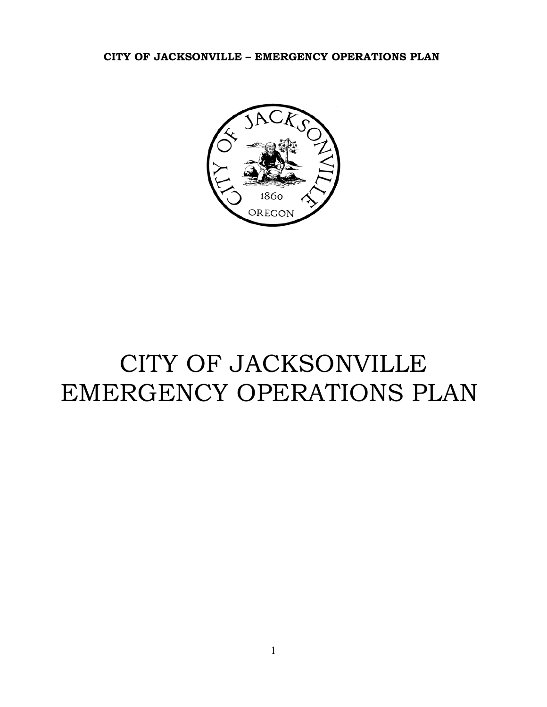

# CITY OF JACKSONVILLE EMERGENCY OPERATIONS PLAN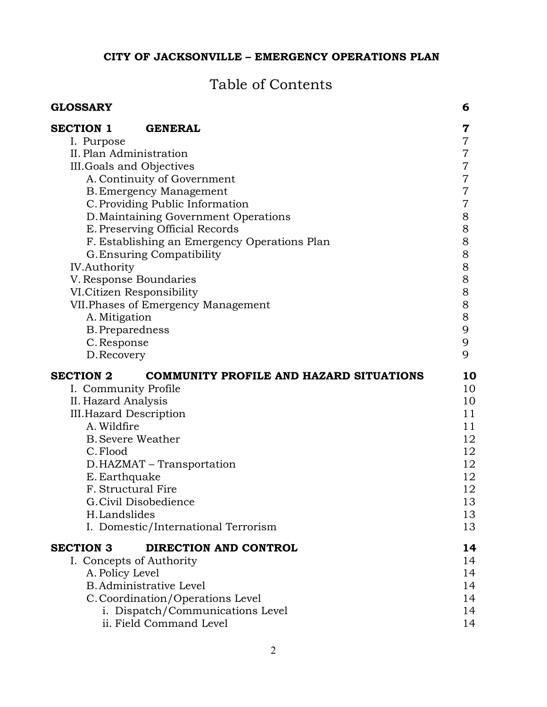# Table of Contents

| <b>GLOSSARY</b>                              |                                                | 6              |
|----------------------------------------------|------------------------------------------------|----------------|
| <b>SECTION 1</b>                             | <b>GENERAL</b>                                 | 7              |
| I. Purpose                                   |                                                | $\overline{7}$ |
| II. Plan Administration                      |                                                | 7              |
| III. Goals and Objectives                    |                                                | $\overline{7}$ |
|                                              | A. Continuity of Government                    | $\overline{7}$ |
|                                              | <b>B. Emergency Management</b>                 | 7              |
|                                              | C. Providing Public Information                | 7              |
|                                              | D. Maintaining Government Operations           | $8\,$          |
| E. Preserving Official Records               |                                                | $8\,$          |
| F. Establishing an Emergency Operations Plan |                                                | $8\,$          |
| G. Ensuring Compatibility                    |                                                | $8\,$          |
| <b>IV.Authority</b>                          |                                                | $8\,$          |
| V. Response Boundaries                       |                                                | $8\,$          |
| VI.Citizen Responsibility                    |                                                | $8\,$          |
|                                              | VII. Phases of Emergency Management            | $8\,$          |
| A. Mitigation                                |                                                | $8\,$          |
| <b>B.</b> Preparedness                       |                                                | 9              |
| C. Response                                  |                                                | 9              |
| D. Recovery                                  |                                                | 9              |
| <b>SECTION 2</b>                             | <b>COMMUNITY PROFILE AND HAZARD SITUATIONS</b> | 10             |
| I. Community Profile                         |                                                | 10             |
| II. Hazard Analysis                          |                                                | 10             |
| <b>III. Hazard Description</b>               |                                                | 11             |
| A. Wildfire                                  |                                                | 11             |
| <b>B.</b> Severe Weather                     |                                                | 12             |
| C. Flood                                     |                                                | 12             |
|                                              | D.HAZMAT – Transportation                      | 12             |
| E. Earthquake                                |                                                | 12             |
| F. Structural Fire                           |                                                | 12             |
|                                              | G. Civil Disobedience                          | 13             |
| H.Landslides                                 |                                                | 13             |
|                                              | I. Domestic/International Terrorism            | 13             |
| <b>SECTION 3</b>                             | DIRECTION AND CONTROL                          | 14             |
| I. Concepts of Authority                     |                                                | 14             |
| A. Policy Level                              |                                                | 14             |
|                                              | <b>B.</b> Administrative Level                 | 14             |
|                                              | C. Coordination/Operations Level               | 14             |
|                                              | i. Dispatch/Communications Level               | 14             |
|                                              | ii. Field Command Level                        | 14             |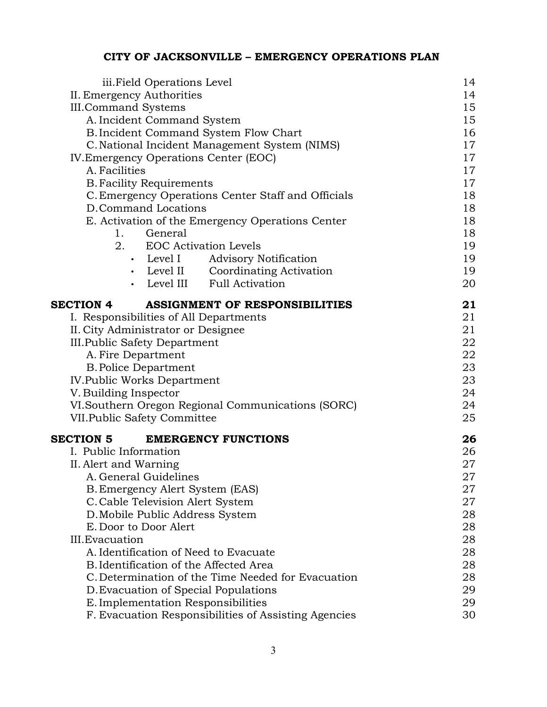| iii. Field Operations Level                               | 14 |
|-----------------------------------------------------------|----|
| II. Emergency Authorities                                 | 14 |
| <b>III.Command Systems</b>                                | 15 |
| A. Incident Command System                                | 15 |
| B. Incident Command System Flow Chart                     | 16 |
| C. National Incident Management System (NIMS)             | 17 |
| IV. Emergency Operations Center (EOC)                     | 17 |
| A. Facilities                                             | 17 |
| <b>B. Facility Requirements</b>                           | 17 |
| C. Emergency Operations Center Staff and Officials        | 18 |
| D.Command Locations                                       | 18 |
| E. Activation of the Emergency Operations Center          | 18 |
| 1. General                                                | 18 |
| 2. EOC Activation Levels                                  | 19 |
| • Level I Advisory Notification                           | 19 |
| • Level II Coordinating Activation                        | 19 |
| • Level III Full Activation                               | 20 |
| <b>SECTION 4</b><br><b>ASSIGNMENT OF RESPONSIBILITIES</b> | 21 |
| I. Responsibilities of All Departments                    | 21 |
| II. City Administrator or Designee                        | 21 |
| <b>III. Public Safety Department</b>                      | 22 |
| A. Fire Department                                        | 22 |
| <b>B. Police Department</b>                               | 23 |
| <b>IV.Public Works Department</b>                         | 23 |
| V. Building Inspector                                     | 24 |
| VI. Southern Oregon Regional Communications (SORC)        | 24 |
| VII. Public Safety Committee                              | 25 |
| <b>SECTION 5</b><br><b>EMERGENCY FUNCTIONS</b>            | 26 |
| I. Public Information                                     | 26 |
| II. Alert and Warning                                     | 27 |
| A. General Guidelines                                     | 27 |
| B. Emergency Alert System (EAS)                           | 27 |
| C. Cable Television Alert System                          | 27 |
| D. Mobile Public Address System                           | 28 |
| E. Door to Door Alert                                     | 28 |
| <b>III.</b> Evacuation                                    | 28 |
| A. Identification of Need to Evacuate                     | 28 |
| B. Identification of the Affected Area                    | 28 |
| C. Determination of the Time Needed for Evacuation        | 28 |
| D. Evacuation of Special Populations                      | 29 |
| E. Implementation Responsibilities                        | 29 |
| F. Evacuation Responsibilities of Assisting Agencies      | 30 |
|                                                           |    |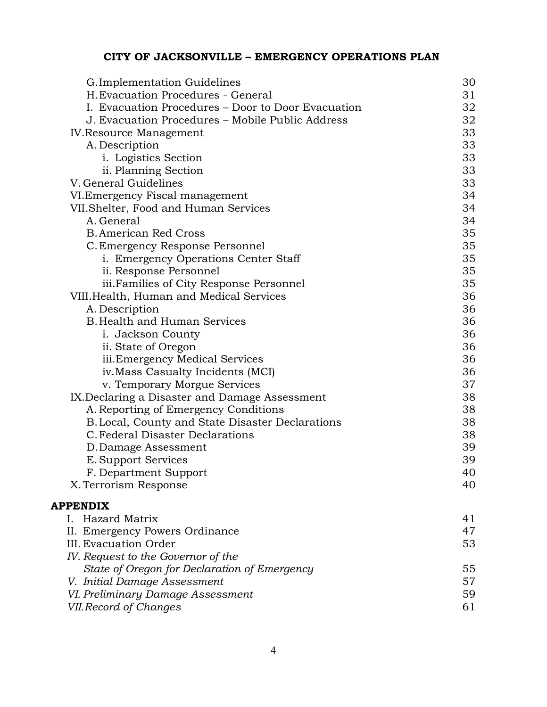| G. Implementation Guidelines                       | 30 |
|----------------------------------------------------|----|
| H. Evacuation Procedures - General                 | 31 |
| I. Evacuation Procedures – Door to Door Evacuation | 32 |
| J. Evacuation Procedures – Mobile Public Address   | 32 |
| <b>IV.Resource Management</b>                      | 33 |
| A. Description                                     | 33 |
| i. Logistics Section                               | 33 |
| ii. Planning Section                               | 33 |
| V. General Guidelines                              | 33 |
| VI. Emergency Fiscal management                    | 34 |
| VII. Shelter, Food and Human Services              | 34 |
| A. General                                         | 34 |
| <b>B. American Red Cross</b>                       | 35 |
| C. Emergency Response Personnel                    | 35 |
| i. Emergency Operations Center Staff               | 35 |
| ii. Response Personnel                             | 35 |
| iii. Families of City Response Personnel           | 35 |
| VIII.Health, Human and Medical Services            | 36 |
| A. Description                                     | 36 |
| <b>B. Health and Human Services</b>                | 36 |
| i. Jackson County                                  | 36 |
| ii. State of Oregon                                | 36 |
| iii. Emergency Medical Services                    | 36 |
| iv. Mass Casualty Incidents (MCI)                  | 36 |
| v. Temporary Morgue Services                       | 37 |
| IX.Declaring a Disaster and Damage Assessment      | 38 |
| A. Reporting of Emergency Conditions               | 38 |
| B. Local, County and State Disaster Declarations   | 38 |
| C. Federal Disaster Declarations                   | 38 |
| D.Damage Assessment                                | 39 |
| E. Support Services                                | 39 |
| F. Department Support                              | 40 |
| X. Terrorism Response                              | 40 |
| <b>APPENDIX</b>                                    |    |
| I. Hazard Matrix                                   | 41 |
| II. Emergency Powers Ordinance                     | 47 |
| III. Evacuation Order                              | 53 |
| IV. Request to the Governor of the                 |    |
| State of Oregon for Declaration of Emergency       | 55 |
| V. Initial Damage Assessment                       | 57 |
| VI. Preliminary Damage Assessment                  | 59 |
| VII. Record of Changes                             | 61 |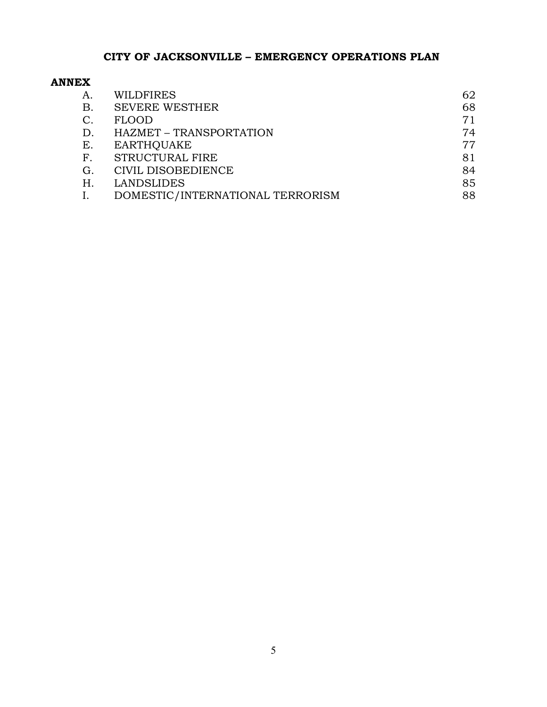#### **ANNEX**

| A.             | <b>WILDFIRES</b>                 | 62 |
|----------------|----------------------------------|----|
| В.             | <b>SEVERE WESTHER</b>            | 68 |
| $\mathcal{C}.$ | FLOOD                            | 71 |
| D.             | HAZMET - TRANSPORTATION          | 74 |
| Е.             | <b>EARTHOUAKE</b>                | 77 |
| F.             | <b>STRUCTURAL FIRE</b>           | 81 |
| G.             | CIVIL DISOBEDIENCE               | 84 |
| Η.             | <b>LANDSLIDES</b>                | 85 |
|                | DOMESTIC/INTERNATIONAL TERRORISM | 88 |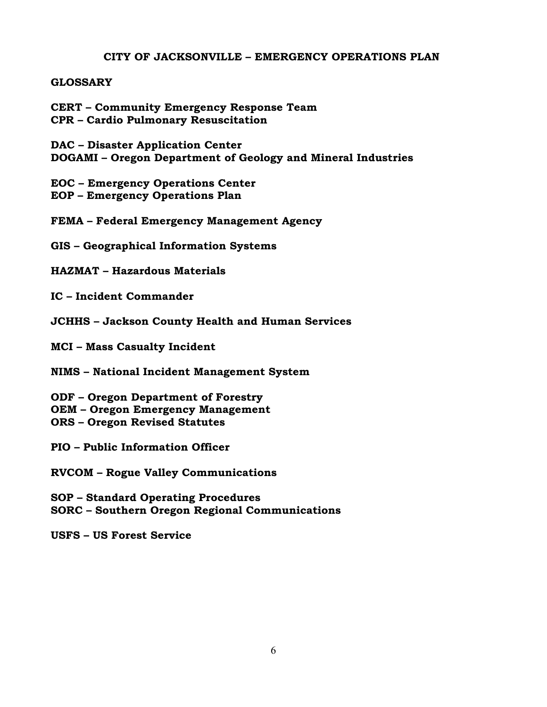#### **GLOSSARY**

**CERT – Community Emergency Response Team CPR – Cardio Pulmonary Resuscitation**

**DAC – Disaster Application Center DOGAMI – Oregon Department of Geology and Mineral Industries**

**EOC – Emergency Operations Center EOP – Emergency Operations Plan** 

**FEMA – Federal Emergency Management Agency**

**GIS – Geographical Information Systems**

**HAZMAT – Hazardous Materials**

**IC – Incident Commander**

**JCHHS – Jackson County Health and Human Services** 

**MCI – Mass Casualty Incident** 

**NIMS – National Incident Management System** 

**ODF – Oregon Department of Forestry OEM – Oregon Emergency Management ORS – Oregon Revised Statutes** 

**PIO – Public Information Officer** 

**RVCOM – Rogue Valley Communications**

**SOP – Standard Operating Procedures SORC – Southern Oregon Regional Communications** 

**USFS – US Forest Service**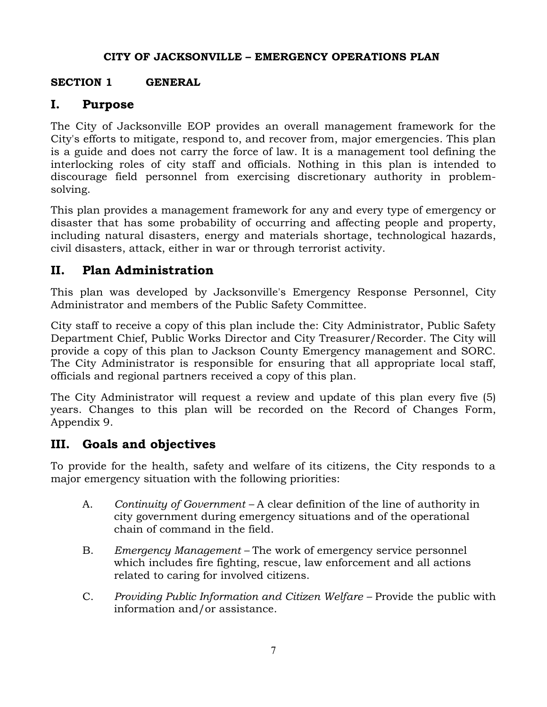## **SECTION 1 GENERAL**

# **I. Purpose**

The City of Jacksonville EOP provides an overall management framework for the City's efforts to mitigate, respond to, and recover from, major emergencies. This plan is a guide and does not carry the force of law. It is a management tool defining the interlocking roles of city staff and officials. Nothing in this plan is intended to discourage field personnel from exercising discretionary authority in problemsolving.

This plan provides a management framework for any and every type of emergency or disaster that has some probability of occurring and affecting people and property, including natural disasters, energy and materials shortage, technological hazards, civil disasters, attack, either in war or through terrorist activity.

# **II. Plan Administration**

This plan was developed by Jacksonville's Emergency Response Personnel, City Administrator and members of the Public Safety Committee.

City staff to receive a copy of this plan include the: City Administrator, Public Safety Department Chief, Public Works Director and City Treasurer/Recorder. The City will provide a copy of this plan to Jackson County Emergency management and SORC. The City Administrator is responsible for ensuring that all appropriate local staff, officials and regional partners received a copy of this plan.

The City Administrator will request a review and update of this plan every five (5) years. Changes to this plan will be recorded on the Record of Changes Form, Appendix 9.

# **III. Goals and objectives**

To provide for the health, safety and welfare of its citizens, the City responds to a major emergency situation with the following priorities:

- A. *Continuity of Government* A clear definition of the line of authority in city government during emergency situations and of the operational chain of command in the field.
- B. *Emergency Management* The work of emergency service personnel which includes fire fighting, rescue, law enforcement and all actions related to caring for involved citizens.
- C. *Providing Public Information and Citizen Welfare* Provide the public with information and/or assistance.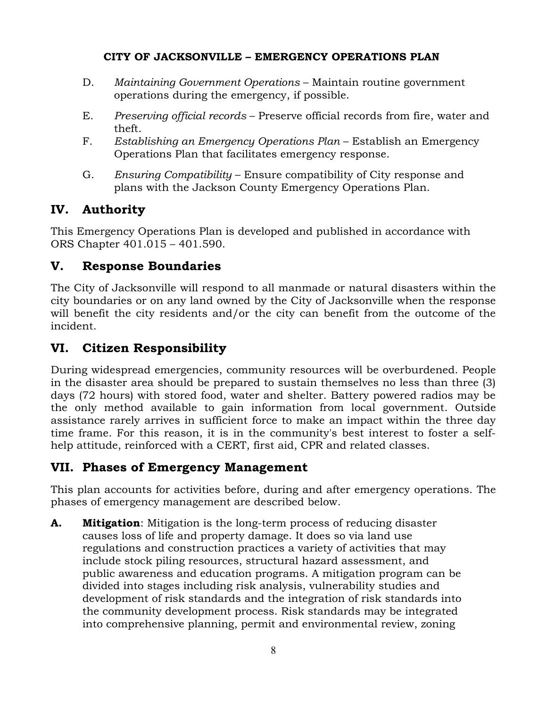- D. *Maintaining Government Operations* Maintain routine government operations during the emergency, if possible.
- E. *Preserving official records* Preserve official records from fire, water and theft.
- F. *Establishing an Emergency Operations Plan* Establish an Emergency Operations Plan that facilitates emergency response.
- G. *Ensuring Compatibility* Ensure compatibility of City response and plans with the Jackson County Emergency Operations Plan.

# **IV. Authority**

This Emergency Operations Plan is developed and published in accordance with ORS Chapter 401.015 – 401.590.

# **V. Response Boundaries**

The City of Jacksonville will respond to all manmade or natural disasters within the city boundaries or on any land owned by the City of Jacksonville when the response will benefit the city residents and/or the city can benefit from the outcome of the incident.

# **VI. Citizen Responsibility**

During widespread emergencies, community resources will be overburdened. People in the disaster area should be prepared to sustain themselves no less than three (3) days (72 hours) with stored food, water and shelter. Battery powered radios may be the only method available to gain information from local government. Outside assistance rarely arrives in sufficient force to make an impact within the three day time frame. For this reason, it is in the community's best interest to foster a selfhelp attitude, reinforced with a CERT, first aid, CPR and related classes.

# **VII. Phases of Emergency Management**

This plan accounts for activities before, during and after emergency operations. The phases of emergency management are described below.

**A. Mitigation**: Mitigation is the long-term process of reducing disaster causes loss of life and property damage. It does so via land use regulations and construction practices a variety of activities that may include stock piling resources, structural hazard assessment, and public awareness and education programs. A mitigation program can be divided into stages including risk analysis, vulnerability studies and development of risk standards and the integration of risk standards into the community development process. Risk standards may be integrated into comprehensive planning, permit and environmental review, zoning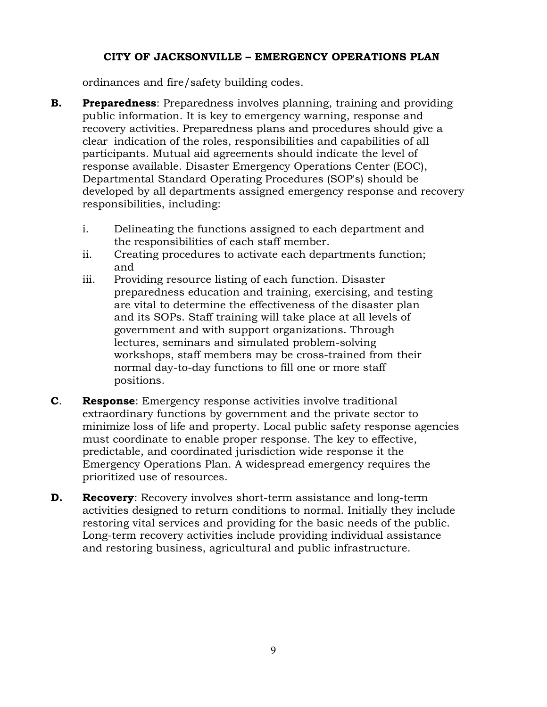ordinances and fire/safety building codes.

- **B. Preparedness**: Preparedness involves planning, training and providing public information. It is key to emergency warning, response and recovery activities. Preparedness plans and procedures should give a clear indication of the roles, responsibilities and capabilities of all participants. Mutual aid agreements should indicate the level of response available. Disaster Emergency Operations Center (EOC), Departmental Standard Operating Procedures (SOP's) should be developed by all departments assigned emergency response and recovery responsibilities, including:
	- i. Delineating the functions assigned to each department and the responsibilities of each staff member.
	- ii. Creating procedures to activate each departments function; and
	- iii. Providing resource listing of each function. Disaster preparedness education and training, exercising, and testing are vital to determine the effectiveness of the disaster plan and its SOPs. Staff training will take place at all levels of government and with support organizations. Through lectures, seminars and simulated problem-solving workshops, staff members may be cross-trained from their normal day-to-day functions to fill one or more staff positions.
- **C**. **Response**: Emergency response activities involve traditional extraordinary functions by government and the private sector to minimize loss of life and property. Local public safety response agencies must coordinate to enable proper response. The key to effective, predictable, and coordinated jurisdiction wide response it the Emergency Operations Plan. A widespread emergency requires the prioritized use of resources.
- **D. Recovery**: Recovery involves short-term assistance and long-term activities designed to return conditions to normal. Initially they include restoring vital services and providing for the basic needs of the public. Long-term recovery activities include providing individual assistance and restoring business, agricultural and public infrastructure.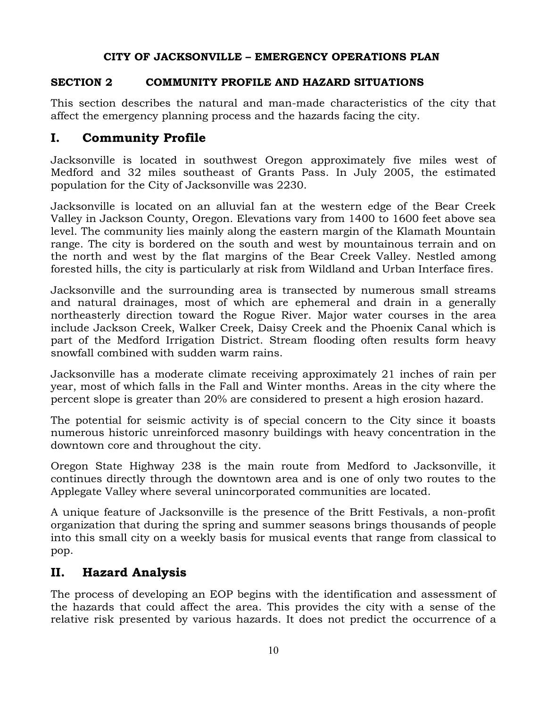#### **SECTION 2 COMMUNITY PROFILE AND HAZARD SITUATIONS**

This section describes the natural and man-made characteristics of the city that affect the emergency planning process and the hazards facing the city.

# **I. Community Profile**

Jacksonville is located in southwest Oregon approximately five miles west of Medford and 32 miles southeast of Grants Pass. In July 2005, the estimated population for the City of Jacksonville was 2230.

Jacksonville is located on an alluvial fan at the western edge of the Bear Creek Valley in Jackson County, Oregon. Elevations vary from 1400 to 1600 feet above sea level. The community lies mainly along the eastern margin of the Klamath Mountain range. The city is bordered on the south and west by mountainous terrain and on the north and west by the flat margins of the Bear Creek Valley. Nestled among forested hills, the city is particularly at risk from Wildland and Urban Interface fires.

Jacksonville and the surrounding area is transected by numerous small streams and natural drainages, most of which are ephemeral and drain in a generally northeasterly direction toward the Rogue River. Major water courses in the area include Jackson Creek, Walker Creek, Daisy Creek and the Phoenix Canal which is part of the Medford Irrigation District. Stream flooding often results form heavy snowfall combined with sudden warm rains.

Jacksonville has a moderate climate receiving approximately 21 inches of rain per year, most of which falls in the Fall and Winter months. Areas in the city where the percent slope is greater than 20% are considered to present a high erosion hazard.

The potential for seismic activity is of special concern to the City since it boasts numerous historic unreinforced masonry buildings with heavy concentration in the downtown core and throughout the city.

Oregon State Highway 238 is the main route from Medford to Jacksonville, it continues directly through the downtown area and is one of only two routes to the Applegate Valley where several unincorporated communities are located.

A unique feature of Jacksonville is the presence of the Britt Festivals, a non-profit organization that during the spring and summer seasons brings thousands of people into this small city on a weekly basis for musical events that range from classical to pop.

# **II. Hazard Analysis**

The process of developing an EOP begins with the identification and assessment of the hazards that could affect the area. This provides the city with a sense of the relative risk presented by various hazards. It does not predict the occurrence of a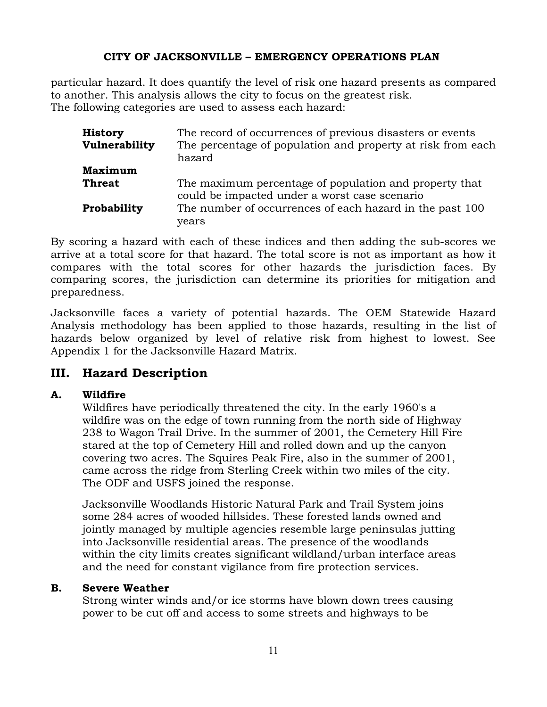particular hazard. It does quantify the level of risk one hazard presents as compared to another. This analysis allows the city to focus on the greatest risk. The following categories are used to assess each hazard:

| <b>History</b> | The record of occurrences of previous disasters or events                                               |
|----------------|---------------------------------------------------------------------------------------------------------|
| Vulnerability  | The percentage of population and property at risk from each<br>hazard                                   |
| <b>Maximum</b> |                                                                                                         |
| <b>Threat</b>  | The maximum percentage of population and property that<br>could be impacted under a worst case scenario |
| Probability    | The number of occurrences of each hazard in the past 100<br>years                                       |

By scoring a hazard with each of these indices and then adding the sub-scores we arrive at a total score for that hazard. The total score is not as important as how it compares with the total scores for other hazards the jurisdiction faces. By comparing scores, the jurisdiction can determine its priorities for mitigation and preparedness.

Jacksonville faces a variety of potential hazards. The OEM Statewide Hazard Analysis methodology has been applied to those hazards, resulting in the list of hazards below organized by level of relative risk from highest to lowest. See Appendix 1 for the Jacksonville Hazard Matrix.

# **III. Hazard Description**

#### **A. Wildfire**

Wildfires have periodically threatened the city. In the early 1960's a wildfire was on the edge of town running from the north side of Highway 238 to Wagon Trail Drive. In the summer of 2001, the Cemetery Hill Fire stared at the top of Cemetery Hill and rolled down and up the canyon covering two acres. The Squires Peak Fire, also in the summer of 2001, came across the ridge from Sterling Creek within two miles of the city. The ODF and USFS joined the response.

Jacksonville Woodlands Historic Natural Park and Trail System joins some 284 acres of wooded hillsides. These forested lands owned and jointly managed by multiple agencies resemble large peninsulas jutting into Jacksonville residential areas. The presence of the woodlands within the city limits creates significant wildland/urban interface areas and the need for constant vigilance from fire protection services.

#### **B. Severe Weather**

Strong winter winds and/or ice storms have blown down trees causing power to be cut off and access to some streets and highways to be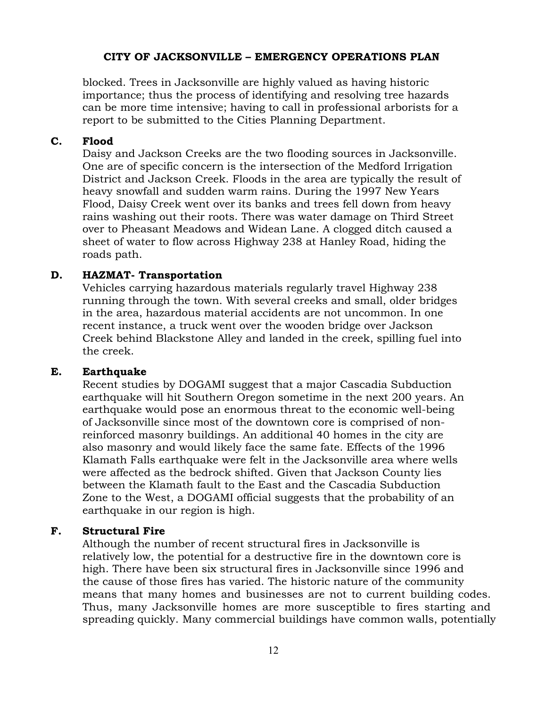blocked. Trees in Jacksonville are highly valued as having historic importance; thus the process of identifying and resolving tree hazards can be more time intensive; having to call in professional arborists for a report to be submitted to the Cities Planning Department.

#### **C. Flood**

Daisy and Jackson Creeks are the two flooding sources in Jacksonville. One are of specific concern is the intersection of the Medford Irrigation District and Jackson Creek. Floods in the area are typically the result of heavy snowfall and sudden warm rains. During the 1997 New Years Flood, Daisy Creek went over its banks and trees fell down from heavy rains washing out their roots. There was water damage on Third Street over to Pheasant Meadows and Widean Lane. A clogged ditch caused a sheet of water to flow across Highway 238 at Hanley Road, hiding the roads path.

#### **D. HAZMAT- Transportation**

Vehicles carrying hazardous materials regularly travel Highway 238 running through the town. With several creeks and small, older bridges in the area, hazardous material accidents are not uncommon. In one recent instance, a truck went over the wooden bridge over Jackson Creek behind Blackstone Alley and landed in the creek, spilling fuel into the creek.

#### **E. Earthquake**

Recent studies by DOGAMI suggest that a major Cascadia Subduction earthquake will hit Southern Oregon sometime in the next 200 years. An earthquake would pose an enormous threat to the economic well-being of Jacksonville since most of the downtown core is comprised of nonreinforced masonry buildings. An additional 40 homes in the city are also masonry and would likely face the same fate. Effects of the 1996 Klamath Falls earthquake were felt in the Jacksonville area where wells were affected as the bedrock shifted. Given that Jackson County lies between the Klamath fault to the East and the Cascadia Subduction Zone to the West, a DOGAMI official suggests that the probability of an earthquake in our region is high.

#### **F. Structural Fire**

Although the number of recent structural fires in Jacksonville is relatively low, the potential for a destructive fire in the downtown core is high. There have been six structural fires in Jacksonville since 1996 and the cause of those fires has varied. The historic nature of the community means that many homes and businesses are not to current building codes. Thus, many Jacksonville homes are more susceptible to fires starting and spreading quickly. Many commercial buildings have common walls, potentially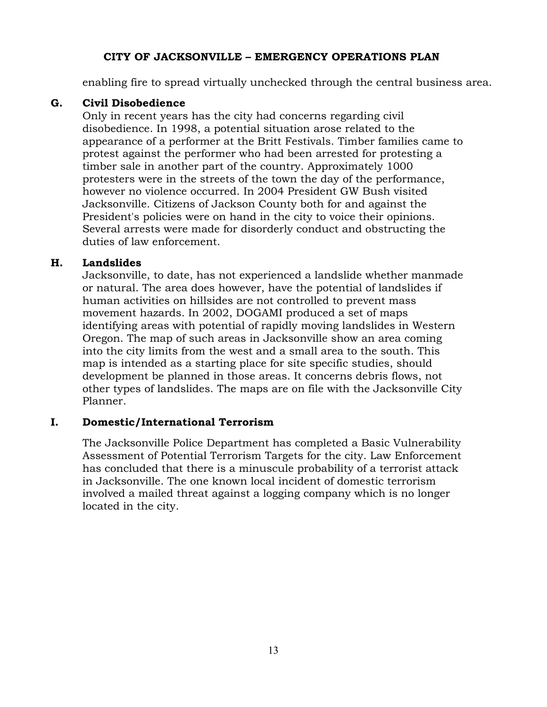enabling fire to spread virtually unchecked through the central business area.

#### **G. Civil Disobedience**

Only in recent years has the city had concerns regarding civil disobedience. In 1998, a potential situation arose related to the appearance of a performer at the Britt Festivals. Timber families came to protest against the performer who had been arrested for protesting a timber sale in another part of the country. Approximately 1000 protesters were in the streets of the town the day of the performance, however no violence occurred. In 2004 President GW Bush visited Jacksonville. Citizens of Jackson County both for and against the President's policies were on hand in the city to voice their opinions. Several arrests were made for disorderly conduct and obstructing the duties of law enforcement.

#### **H. Landslides**

Jacksonville, to date, has not experienced a landslide whether manmade or natural. The area does however, have the potential of landslides if human activities on hillsides are not controlled to prevent mass movement hazards. In 2002, DOGAMI produced a set of maps identifying areas with potential of rapidly moving landslides in Western Oregon. The map of such areas in Jacksonville show an area coming into the city limits from the west and a small area to the south. This map is intended as a starting place for site specific studies, should development be planned in those areas. It concerns debris flows, not other types of landslides. The maps are on file with the Jacksonville City Planner.

#### **I. Domestic/International Terrorism**

The Jacksonville Police Department has completed a Basic Vulnerability Assessment of Potential Terrorism Targets for the city. Law Enforcement has concluded that there is a minuscule probability of a terrorist attack in Jacksonville. The one known local incident of domestic terrorism involved a mailed threat against a logging company which is no longer located in the city.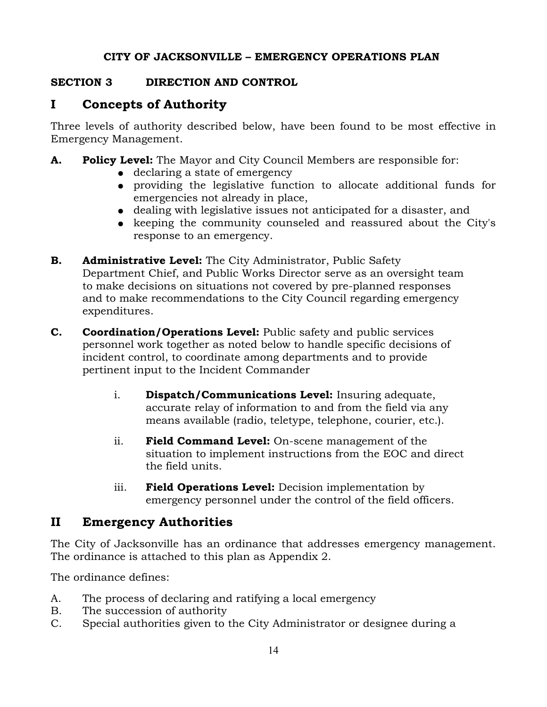#### **SECTION 3 DIRECTION AND CONTROL**

# **I Concepts of Authority**

Three levels of authority described below, have been found to be most effective in Emergency Management.

- **A. Policy Level:** The Mayor and City Council Members are responsible for:
	- declaring a state of emergency
	- providing the legislative function to allocate additional funds for emergencies not already in place,
	- dealing with legislative issues not anticipated for a disaster, and
	- keeping the community counseled and reassured about the City's response to an emergency.
- **B. Administrative Level:** The City Administrator, Public Safety Department Chief, and Public Works Director serve as an oversight team to make decisions on situations not covered by pre-planned responses and to make recommendations to the City Council regarding emergency expenditures.
- **C. Coordination/Operations Level:** Public safety and public services personnel work together as noted below to handle specific decisions of incident control, to coordinate among departments and to provide pertinent input to the Incident Commander
	- i. **Dispatch/Communications Level:** Insuring adequate, accurate relay of information to and from the field via any means available (radio, teletype, telephone, courier, etc.).
	- ii. **Field Command Level:** On-scene management of the situation to implement instructions from the EOC and direct the field units.
	- iii. **Field Operations Level:** Decision implementation by emergency personnel under the control of the field officers.

# **II Emergency Authorities**

The City of Jacksonville has an ordinance that addresses emergency management. The ordinance is attached to this plan as Appendix 2.

The ordinance defines:

- A. The process of declaring and ratifying a local emergency
- B. The succession of authority
- C. Special authorities given to the City Administrator or designee during a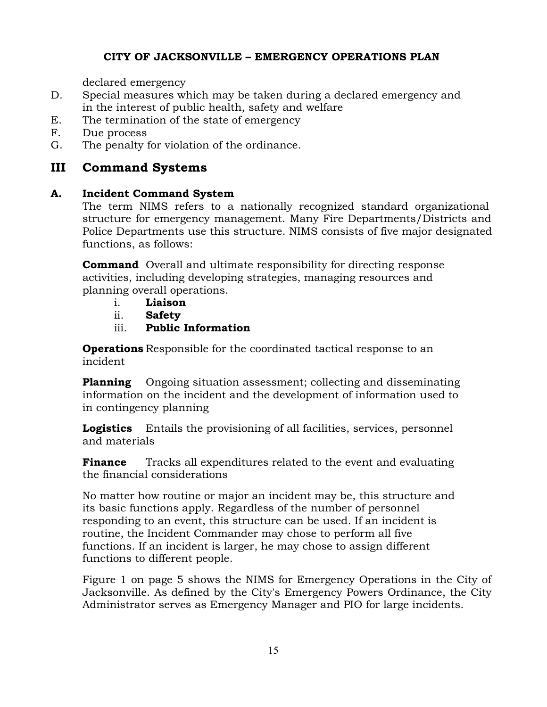declared emergency

- D. Special measures which may be taken during a declared emergency and in the interest of public health, safety and welfare
- E. The termination of the state of emergency
- F. Due process
- G. The penalty for violation of the ordinance.

## **III Command Systems**

#### **A. Incident Command System**

The term NIMS refers to a nationally recognized standard organizational structure for emergency management. Many Fire Departments/Districts and Police Departments use this structure. NIMS consists of five major designated functions, as follows:

**Command** Overall and ultimate responsibility for directing response activities, including developing strategies, managing resources and planning overall operations.

- i. **Liaison**
- ii. **Safety**
- iii. **Public Information**

**Operations** Responsible for the coordinated tactical response to an incident

**Planning** Ongoing situation assessment; collecting and disseminating information on the incident and the development of information used to in contingency planning

**Logistics** Entails the provisioning of all facilities, services, personnel and materials

**Finance** Tracks all expenditures related to the event and evaluating the financial considerations

No matter how routine or major an incident may be, this structure and its basic functions apply. Regardless of the number of personnel responding to an event, this structure can be used. If an incident is routine, the Incident Commander may chose to perform all five functions. If an incident is larger, he may chose to assign different functions to different people.

Figure 1 on page 5 shows the NIMS for Emergency Operations in the City of Jacksonville. As defined by the City's Emergency Powers Ordinance, the City Administrator serves as Emergency Manager and PIO for large incidents.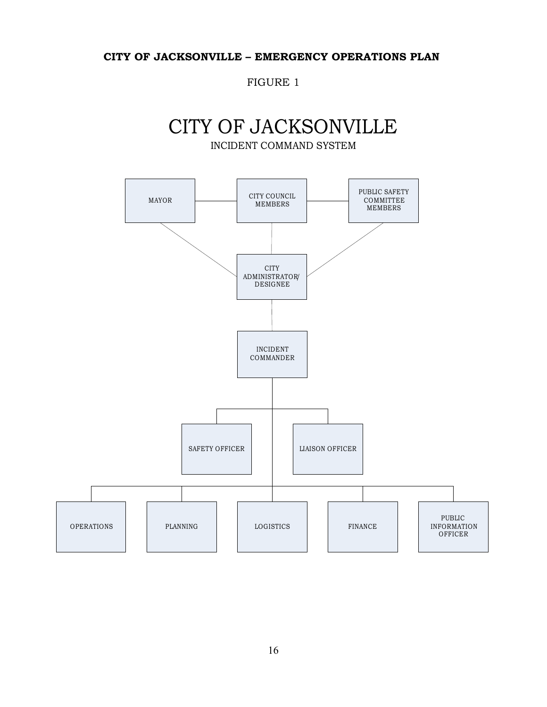FIGURE 1

# CITY OF JACKSONVILLE INCIDENT COMMAND SYSTEM

MAYOR CITY COUNCIL MEMBERS PUBLIC SAFETY COMMITTEE MEMBERS **CITY** ADMINISTRATOR/ DESIGNEE INCIDENT COMMANDER SAFETY OFFICER | LIAISON OFFICER OPERATIONS | PLANNING | LOGISTICS | FINANCE PUBLIC INFORMATION **OFFICER**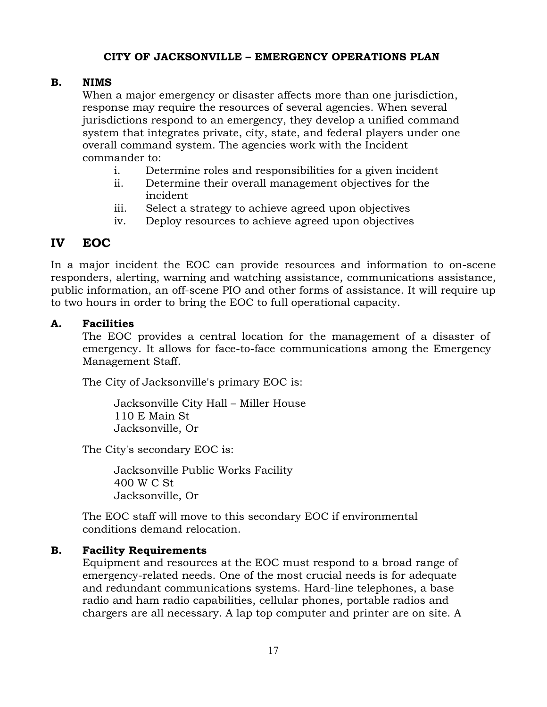#### **B. NIMS**

When a major emergency or disaster affects more than one jurisdiction, response may require the resources of several agencies. When several jurisdictions respond to an emergency, they develop a unified command system that integrates private, city, state, and federal players under one overall command system. The agencies work with the Incident commander to:

- i. Determine roles and responsibilities for a given incident
- ii. Determine their overall management objectives for the incident
- iii. Select a strategy to achieve agreed upon objectives
- iv. Deploy resources to achieve agreed upon objectives

# **IV EOC**

In a major incident the EOC can provide resources and information to on-scene responders, alerting, warning and watching assistance, communications assistance, public information, an off-scene PIO and other forms of assistance. It will require up to two hours in order to bring the EOC to full operational capacity.

#### **A. Facilities**

The EOC provides a central location for the management of a disaster of emergency. It allows for face-to-face communications among the Emergency Management Staff.

The City of Jacksonville's primary EOC is:

Jacksonville City Hall – Miller House 110 E Main St Jacksonville, Or

The City's secondary EOC is:

Jacksonville Public Works Facility 400 W C St Jacksonville, Or

The EOC staff will move to this secondary EOC if environmental conditions demand relocation.

## **B. Facility Requirements**

Equipment and resources at the EOC must respond to a broad range of emergency-related needs. One of the most crucial needs is for adequate and redundant communications systems. Hard-line telephones, a base radio and ham radio capabilities, cellular phones, portable radios and chargers are all necessary. A lap top computer and printer are on site. A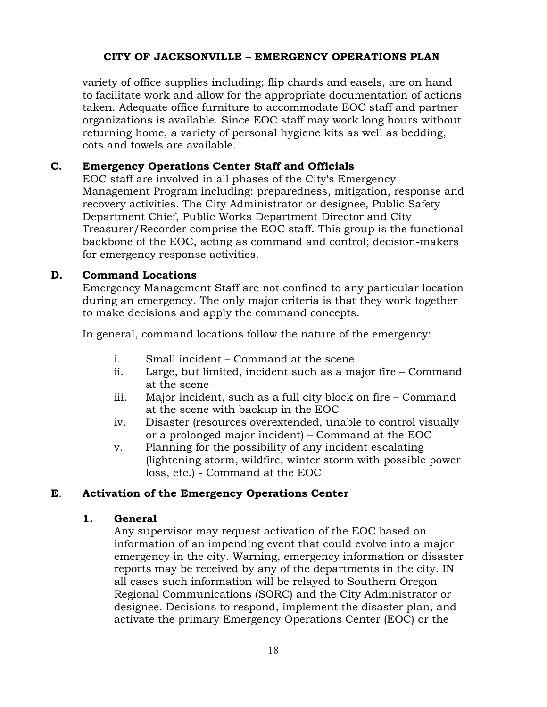variety of office supplies including; flip chards and easels, are on hand to facilitate work and allow for the appropriate documentation of actions taken. Adequate office furniture to accommodate EOC staff and partner organizations is available. Since EOC staff may work long hours without returning home, a variety of personal hygiene kits as well as bedding, cots and towels are available.

#### **C. Emergency Operations Center Staff and Officials**

EOC staff are involved in all phases of the City's Emergency Management Program including: preparedness, mitigation, response and recovery activities. The City Administrator or designee, Public Safety Department Chief, Public Works Department Director and City Treasurer/Recorder comprise the EOC staff. This group is the functional backbone of the EOC, acting as command and control; decision-makers for emergency response activities.

#### **D. Command Locations**

Emergency Management Staff are not confined to any particular location during an emergency. The only major criteria is that they work together to make decisions and apply the command concepts.

In general, command locations follow the nature of the emergency:

- i. Small incident Command at the scene
- ii. Large, but limited, incident such as a major fire Command at the scene
- iii. Major incident, such as a full city block on fire Command at the scene with backup in the EOC
- iv. Disaster (resources overextended, unable to control visually or a prolonged major incident) – Command at the EOC
- v. Planning for the possibility of any incident escalating (lightening storm, wildfire, winter storm with possible power loss, etc.) - Command at the EOC

#### **E**. **Activation of the Emergency Operations Center**

#### **1. General**

Any supervisor may request activation of the EOC based on information of an impending event that could evolve into a major emergency in the city. Warning, emergency information or disaster reports may be received by any of the departments in the city. IN all cases such information will be relayed to Southern Oregon Regional Communications (SORC) and the City Administrator or designee. Decisions to respond, implement the disaster plan, and activate the primary Emergency Operations Center (EOC) or the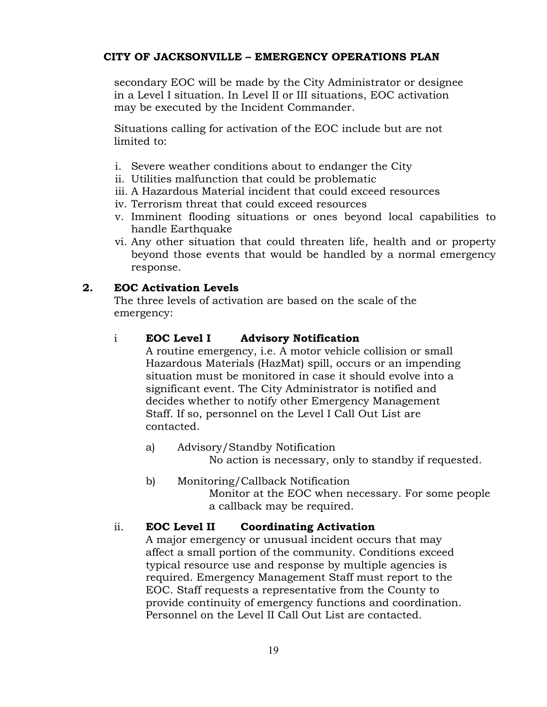secondary EOC will be made by the City Administrator or designee in a Level I situation. In Level II or III situations, EOC activation may be executed by the Incident Commander.

Situations calling for activation of the EOC include but are not limited to:

- i. Severe weather conditions about to endanger the City
- ii. Utilities malfunction that could be problematic
- iii. A Hazardous Material incident that could exceed resources
- iv. Terrorism threat that could exceed resources
- v. Imminent flooding situations or ones beyond local capabilities to handle Earthquake
- vi. Any other situation that could threaten life, health and or property beyond those events that would be handled by a normal emergency response.

#### **2. EOC Activation Levels**

The three levels of activation are based on the scale of the emergency:

#### i **EOC Level I Advisory Notification**

A routine emergency, i.e. A motor vehicle collision or small Hazardous Materials (HazMat) spill, occurs or an impending situation must be monitored in case it should evolve into a significant event. The City Administrator is notified and decides whether to notify other Emergency Management Staff. If so, personnel on the Level I Call Out List are contacted.

- a) Advisory/Standby Notification No action is necessary, only to standby if requested.
- b) Monitoring/Callback Notification Monitor at the EOC when necessary. For some people a callback may be required.

#### ii. **EOC Level II Coordinating Activation**

A major emergency or unusual incident occurs that may affect a small portion of the community. Conditions exceed typical resource use and response by multiple agencies is required. Emergency Management Staff must report to the EOC. Staff requests a representative from the County to provide continuity of emergency functions and coordination. Personnel on the Level II Call Out List are contacted.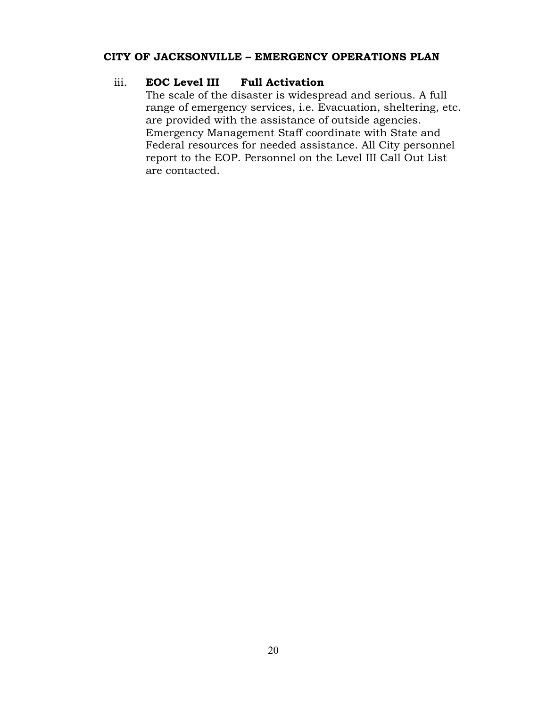#### iii. **EOC Level III Full Activation**

The scale of the disaster is widespread and serious. A full range of emergency services, i.e. Evacuation, sheltering, etc. are provided with the assistance of outside agencies. Emergency Management Staff coordinate with State and Federal resources for needed assistance. All City personnel report to the EOP. Personnel on the Level III Call Out List are contacted.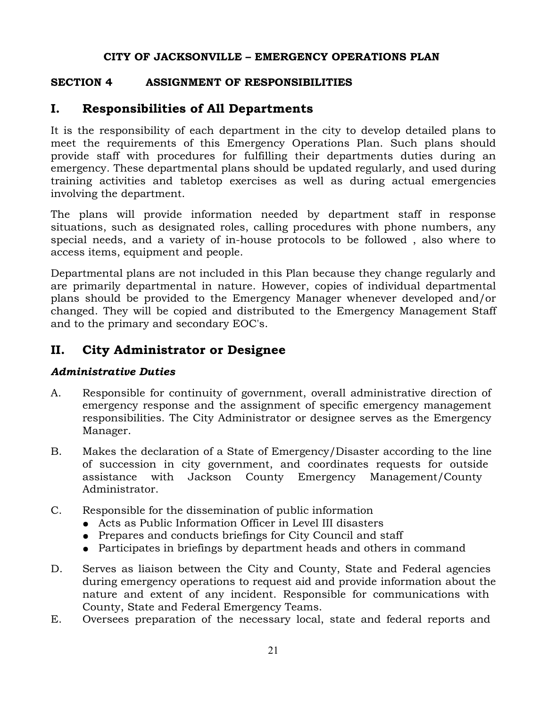#### **SECTION 4 ASSIGNMENT OF RESPONSIBILITIES**

# **I. Responsibilities of All Departments**

It is the responsibility of each department in the city to develop detailed plans to meet the requirements of this Emergency Operations Plan. Such plans should provide staff with procedures for fulfilling their departments duties during an emergency. These departmental plans should be updated regularly, and used during training activities and tabletop exercises as well as during actual emergencies involving the department.

The plans will provide information needed by department staff in response situations, such as designated roles, calling procedures with phone numbers, any special needs, and a variety of in-house protocols to be followed , also where to access items, equipment and people.

Departmental plans are not included in this Plan because they change regularly and are primarily departmental in nature. However, copies of individual departmental plans should be provided to the Emergency Manager whenever developed and/or changed. They will be copied and distributed to the Emergency Management Staff and to the primary and secondary EOC's.

# **II. City Administrator or Designee**

#### *Administrative Duties*

- A. Responsible for continuity of government, overall administrative direction of emergency response and the assignment of specific emergency management responsibilities. The City Administrator or designee serves as the Emergency Manager.
- B. Makes the declaration of a State of Emergency/Disaster according to the line of succession in city government, and coordinates requests for outside assistance with Jackson County Emergency Management/County Administrator.
- C. Responsible for the dissemination of public information
	- Acts as Public Information Officer in Level III disasters
	- Prepares and conducts briefings for City Council and staff
	- Participates in briefings by department heads and others in command
- D. Serves as liaison between the City and County, State and Federal agencies during emergency operations to request aid and provide information about the nature and extent of any incident. Responsible for communications with County, State and Federal Emergency Teams.
- E. Oversees preparation of the necessary local, state and federal reports and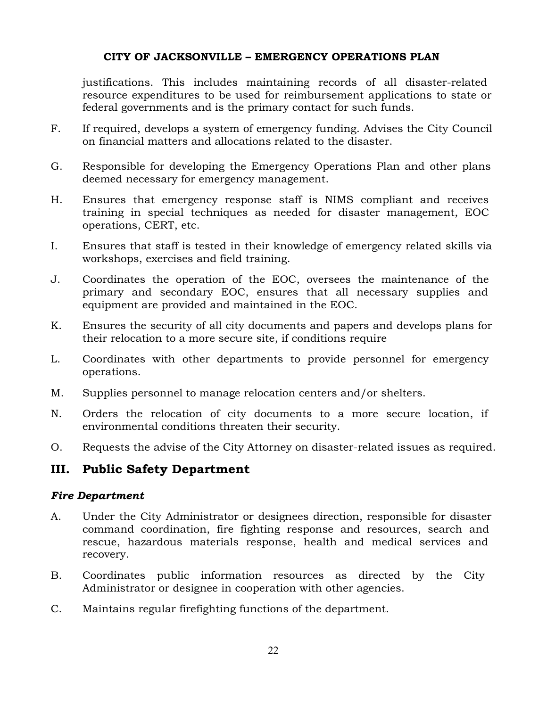justifications. This includes maintaining records of all disaster-related resource expenditures to be used for reimbursement applications to state or federal governments and is the primary contact for such funds.

- F. If required, develops a system of emergency funding. Advises the City Council on financial matters and allocations related to the disaster.
- G. Responsible for developing the Emergency Operations Plan and other plans deemed necessary for emergency management.
- H. Ensures that emergency response staff is NIMS compliant and receives training in special techniques as needed for disaster management, EOC operations, CERT, etc.
- I. Ensures that staff is tested in their knowledge of emergency related skills via workshops, exercises and field training.
- J. Coordinates the operation of the EOC, oversees the maintenance of the primary and secondary EOC, ensures that all necessary supplies and equipment are provided and maintained in the EOC.
- K. Ensures the security of all city documents and papers and develops plans for their relocation to a more secure site, if conditions require
- L. Coordinates with other departments to provide personnel for emergency operations.
- M. Supplies personnel to manage relocation centers and/or shelters.
- N. Orders the relocation of city documents to a more secure location, if environmental conditions threaten their security.
- O. Requests the advise of the City Attorney on disaster-related issues as required.

## **III. Public Safety Department**

#### *Fire Department*

- A. Under the City Administrator or designees direction, responsible for disaster command coordination, fire fighting response and resources, search and rescue, hazardous materials response, health and medical services and recovery.
- B. Coordinates public information resources as directed by the City Administrator or designee in cooperation with other agencies.
- C. Maintains regular firefighting functions of the department.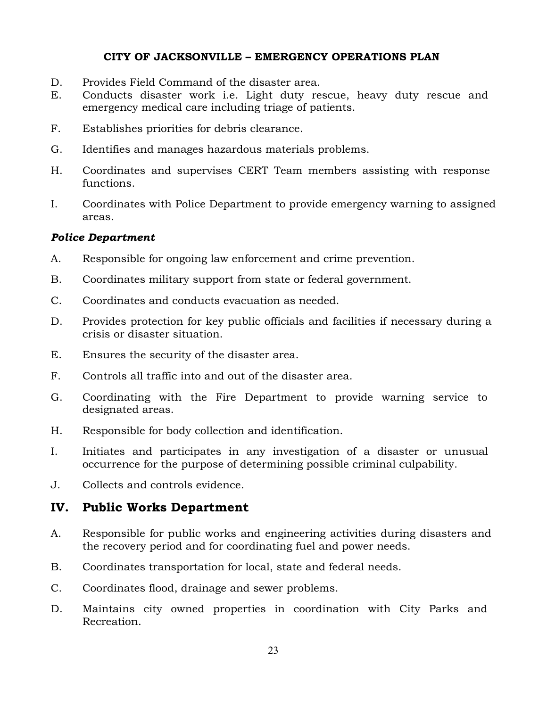- D. Provides Field Command of the disaster area.
- E. Conducts disaster work i.e. Light duty rescue, heavy duty rescue and emergency medical care including triage of patients.
- F. Establishes priorities for debris clearance.
- G. Identifies and manages hazardous materials problems.
- H. Coordinates and supervises CERT Team members assisting with response functions.
- I. Coordinates with Police Department to provide emergency warning to assigned areas.

#### *Police Department*

- A. Responsible for ongoing law enforcement and crime prevention.
- B. Coordinates military support from state or federal government.
- C. Coordinates and conducts evacuation as needed.
- D. Provides protection for key public officials and facilities if necessary during a crisis or disaster situation.
- E. Ensures the security of the disaster area.
- F. Controls all traffic into and out of the disaster area.
- G. Coordinating with the Fire Department to provide warning service to designated areas.
- H. Responsible for body collection and identification.
- I. Initiates and participates in any investigation of a disaster or unusual occurrence for the purpose of determining possible criminal culpability.
- J. Collects and controls evidence.

## **IV. Public Works Department**

- A. Responsible for public works and engineering activities during disasters and the recovery period and for coordinating fuel and power needs.
- B. Coordinates transportation for local, state and federal needs.
- C. Coordinates flood, drainage and sewer problems.
- D. Maintains city owned properties in coordination with City Parks and Recreation.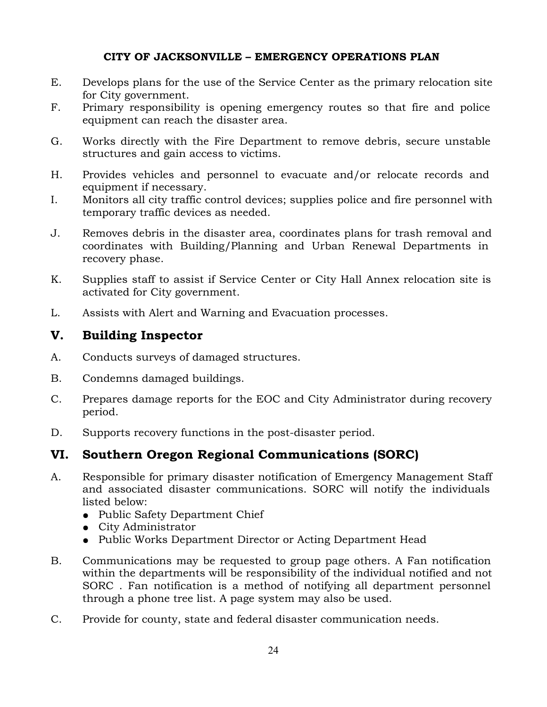- E. Develops plans for the use of the Service Center as the primary relocation site for City government.
- F. Primary responsibility is opening emergency routes so that fire and police equipment can reach the disaster area.
- G. Works directly with the Fire Department to remove debris, secure unstable structures and gain access to victims.
- H. Provides vehicles and personnel to evacuate and/or relocate records and equipment if necessary.
- I. Monitors all city traffic control devices; supplies police and fire personnel with temporary traffic devices as needed.
- J. Removes debris in the disaster area, coordinates plans for trash removal and coordinates with Building/Planning and Urban Renewal Departments in recovery phase.
- K. Supplies staff to assist if Service Center or City Hall Annex relocation site is activated for City government.
- L. Assists with Alert and Warning and Evacuation processes.

# **V. Building Inspector**

- A. Conducts surveys of damaged structures.
- B. Condemns damaged buildings.
- C. Prepares damage reports for the EOC and City Administrator during recovery period.
- D. Supports recovery functions in the post-disaster period.

# **VI. Southern Oregon Regional Communications (SORC)**

- A. Responsible for primary disaster notification of Emergency Management Staff and associated disaster communications. SORC will notify the individuals listed below:
	- Public Safety Department Chief
	- City Administrator
	- Public Works Department Director or Acting Department Head
- B. Communications may be requested to group page others. A Fan notification within the departments will be responsibility of the individual notified and not SORC . Fan notification is a method of notifying all department personnel through a phone tree list. A page system may also be used.
- C. Provide for county, state and federal disaster communication needs.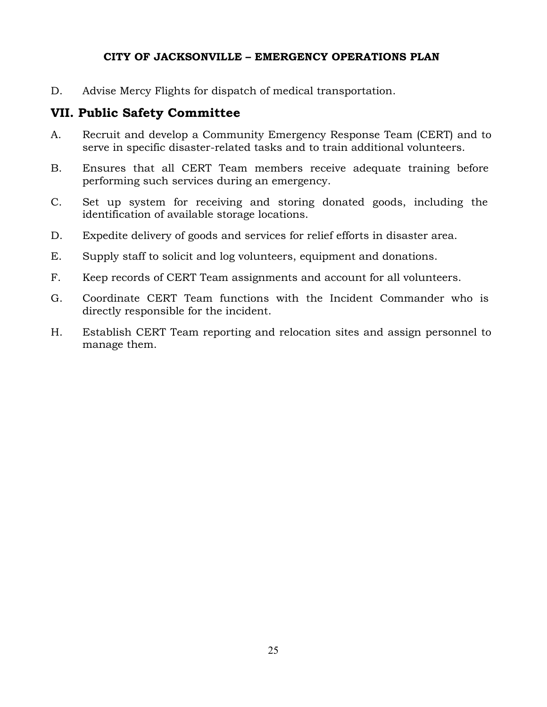D. Advise Mercy Flights for dispatch of medical transportation.

# **VII. Public Safety Committee**

- A. Recruit and develop a Community Emergency Response Team (CERT) and to serve in specific disaster-related tasks and to train additional volunteers.
- B. Ensures that all CERT Team members receive adequate training before performing such services during an emergency.
- C. Set up system for receiving and storing donated goods, including the identification of available storage locations.
- D. Expedite delivery of goods and services for relief efforts in disaster area.
- E. Supply staff to solicit and log volunteers, equipment and donations.
- F. Keep records of CERT Team assignments and account for all volunteers.
- G. Coordinate CERT Team functions with the Incident Commander who is directly responsible for the incident.
- H. Establish CERT Team reporting and relocation sites and assign personnel to manage them.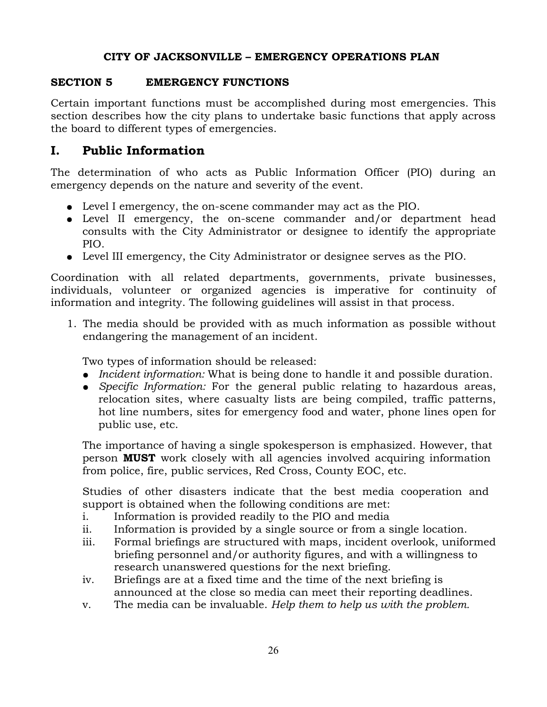#### **SECTION 5 EMERGENCY FUNCTIONS**

Certain important functions must be accomplished during most emergencies. This section describes how the city plans to undertake basic functions that apply across the board to different types of emergencies.

## **I. Public Information**

The determination of who acts as Public Information Officer (PIO) during an emergency depends on the nature and severity of the event.

- Level I emergency, the on-scene commander may act as the PIO.
- Level II emergency, the on-scene commander and/or department head consults with the City Administrator or designee to identify the appropriate PIO.
- Level III emergency, the City Administrator or designee serves as the PIO.

Coordination with all related departments, governments, private businesses, individuals, volunteer or organized agencies is imperative for continuity of information and integrity. The following guidelines will assist in that process.

1. The media should be provided with as much information as possible without endangering the management of an incident.

Two types of information should be released:

- *Incident information:* What is being done to handle it and possible duration.
- *Specific Information:* For the general public relating to hazardous areas, relocation sites, where casualty lists are being compiled, traffic patterns, hot line numbers, sites for emergency food and water, phone lines open for public use, etc.

The importance of having a single spokesperson is emphasized. However, that person **MUST** work closely with all agencies involved acquiring information from police, fire, public services, Red Cross, County EOC, etc.

Studies of other disasters indicate that the best media cooperation and support is obtained when the following conditions are met:

- i. Information is provided readily to the PIO and media
- ii. Information is provided by a single source or from a single location.
- iii. Formal briefings are structured with maps, incident overlook, uniformed briefing personnel and/or authority figures, and with a willingness to research unanswered questions for the next briefing.
- iv. Briefings are at a fixed time and the time of the next briefing is announced at the close so media can meet their reporting deadlines.
- v. The media can be invaluable. *Help them to help us with the problem.*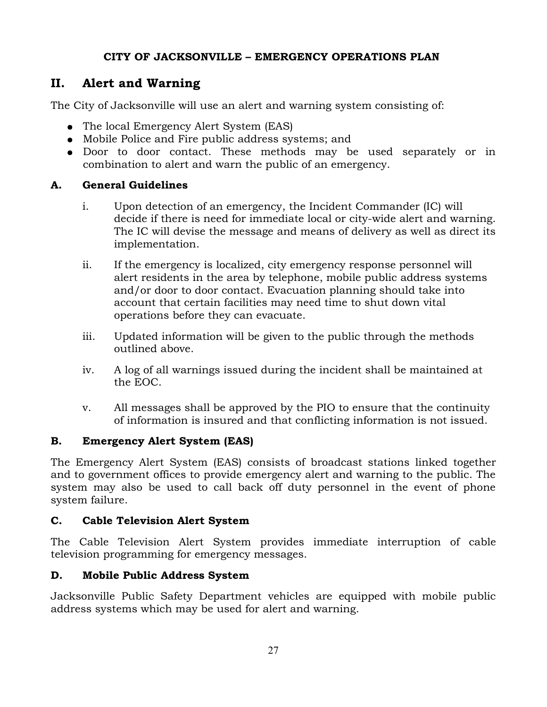# **II. Alert and Warning**

The City of Jacksonville will use an alert and warning system consisting of:

- The local Emergency Alert System (EAS)
- Mobile Police and Fire public address systems; and
- Door to door contact. These methods may be used separately or in combination to alert and warn the public of an emergency.

## **A. General Guidelines**

- i. Upon detection of an emergency, the Incident Commander (IC) will decide if there is need for immediate local or city-wide alert and warning. The IC will devise the message and means of delivery as well as direct its implementation.
- ii. If the emergency is localized, city emergency response personnel will alert residents in the area by telephone, mobile public address systems and/or door to door contact. Evacuation planning should take into account that certain facilities may need time to shut down vital operations before they can evacuate.
- iii. Updated information will be given to the public through the methods outlined above.
- iv. A log of all warnings issued during the incident shall be maintained at the EOC.
- v. All messages shall be approved by the PIO to ensure that the continuity of information is insured and that conflicting information is not issued.

## **B. Emergency Alert System (EAS)**

The Emergency Alert System (EAS) consists of broadcast stations linked together and to government offices to provide emergency alert and warning to the public. The system may also be used to call back off duty personnel in the event of phone system failure.

#### **C. Cable Television Alert System**

The Cable Television Alert System provides immediate interruption of cable television programming for emergency messages.

## **D. Mobile Public Address System**

Jacksonville Public Safety Department vehicles are equipped with mobile public address systems which may be used for alert and warning.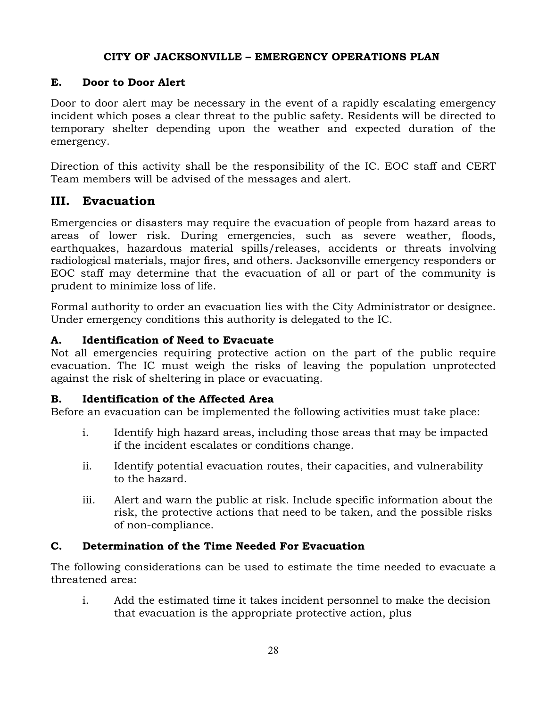#### **E. Door to Door Alert**

Door to door alert may be necessary in the event of a rapidly escalating emergency incident which poses a clear threat to the public safety. Residents will be directed to temporary shelter depending upon the weather and expected duration of the emergency.

Direction of this activity shall be the responsibility of the IC. EOC staff and CERT Team members will be advised of the messages and alert.

# **III. Evacuation**

Emergencies or disasters may require the evacuation of people from hazard areas to areas of lower risk. During emergencies, such as severe weather, floods, earthquakes, hazardous material spills/releases, accidents or threats involving radiological materials, major fires, and others. Jacksonville emergency responders or EOC staff may determine that the evacuation of all or part of the community is prudent to minimize loss of life.

Formal authority to order an evacuation lies with the City Administrator or designee. Under emergency conditions this authority is delegated to the IC.

#### **A. Identification of Need to Evacuate**

Not all emergencies requiring protective action on the part of the public require evacuation. The IC must weigh the risks of leaving the population unprotected against the risk of sheltering in place or evacuating.

#### **B. Identification of the Affected Area**

Before an evacuation can be implemented the following activities must take place:

- i. Identify high hazard areas, including those areas that may be impacted if the incident escalates or conditions change.
- ii. Identify potential evacuation routes, their capacities, and vulnerability to the hazard.
- iii. Alert and warn the public at risk. Include specific information about the risk, the protective actions that need to be taken, and the possible risks of non-compliance.

#### **C. Determination of the Time Needed For Evacuation**

The following considerations can be used to estimate the time needed to evacuate a threatened area:

i. Add the estimated time it takes incident personnel to make the decision that evacuation is the appropriate protective action, plus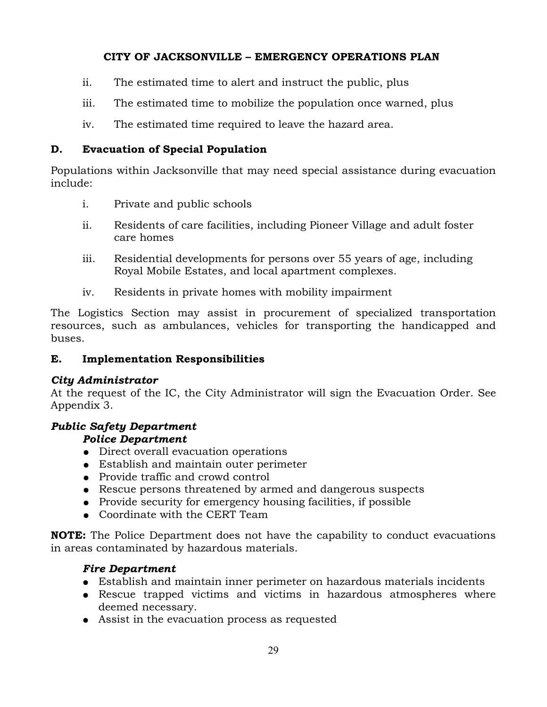- ii. The estimated time to alert and instruct the public, plus
- iii. The estimated time to mobilize the population once warned, plus
- iv. The estimated time required to leave the hazard area.

## **D. Evacuation of Special Population**

Populations within Jacksonville that may need special assistance during evacuation include:

- i. Private and public schools
- ii. Residents of care facilities, including Pioneer Village and adult foster care homes
- iii. Residential developments for persons over 55 years of age, including Royal Mobile Estates, and local apartment complexes.
- iv. Residents in private homes with mobility impairment

The Logistics Section may assist in procurement of specialized transportation resources, such as ambulances, vehicles for transporting the handicapped and buses.

## **E. Implementation Responsibilities**

## *City Administrator*

At the request of the IC, the City Administrator will sign the Evacuation Order. See Appendix 3.

# *Public Safety Department*

## *Police Department*

- Direct overall evacuation operations
- Establish and maintain outer perimeter
- Provide traffic and crowd control
- Rescue persons threatened by armed and dangerous suspects
- Provide security for emergency housing facilities, if possible
- Coordinate with the CERT Team

**NOTE:** The Police Department does not have the capability to conduct evacuations in areas contaminated by hazardous materials.

# *Fire Department*

- Establish and maintain inner perimeter on hazardous materials incidents
- Rescue trapped victims and victims in hazardous atmospheres where deemed necessary.
- Assist in the evacuation process as requested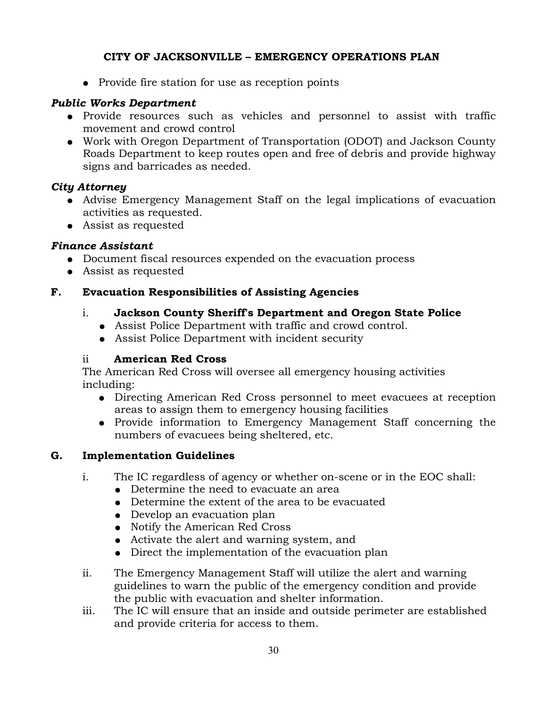• Provide fire station for use as reception points

#### *Public Works Department*

- Provide resources such as vehicles and personnel to assist with traffic movement and crowd control
- Work with Oregon Department of Transportation (ODOT) and Jackson County Roads Department to keep routes open and free of debris and provide highway signs and barricades as needed.

## *City Attorney*

- Advise Emergency Management Staff on the legal implications of evacuation activities as requested.
- Assist as requested

## *Finance Assistant*

- Document fiscal resources expended on the evacuation process
- Assist as requested

## **F. Evacuation Responsibilities of Assisting Agencies**

#### i. **Jackson County Sheriff's Department and Oregon State Police**

- Assist Police Department with traffic and crowd control.
- Assist Police Department with incident security

#### ii **American Red Cross**

The American Red Cross will oversee all emergency housing activities including:

- Directing American Red Cross personnel to meet evacuees at reception areas to assign them to emergency housing facilities
- Provide information to Emergency Management Staff concerning the numbers of evacuees being sheltered, etc.

## **G. Implementation Guidelines**

- i. The IC regardless of agency or whether on-scene or in the EOC shall:
	- Determine the need to evacuate an area
	- Determine the extent of the area to be evacuated
	- Develop an evacuation plan
	- Notify the American Red Cross
	- Activate the alert and warning system, and
	- Direct the implementation of the evacuation plan
- ii. The Emergency Management Staff will utilize the alert and warning guidelines to warn the public of the emergency condition and provide the public with evacuation and shelter information.
- iii. The IC will ensure that an inside and outside perimeter are established and provide criteria for access to them.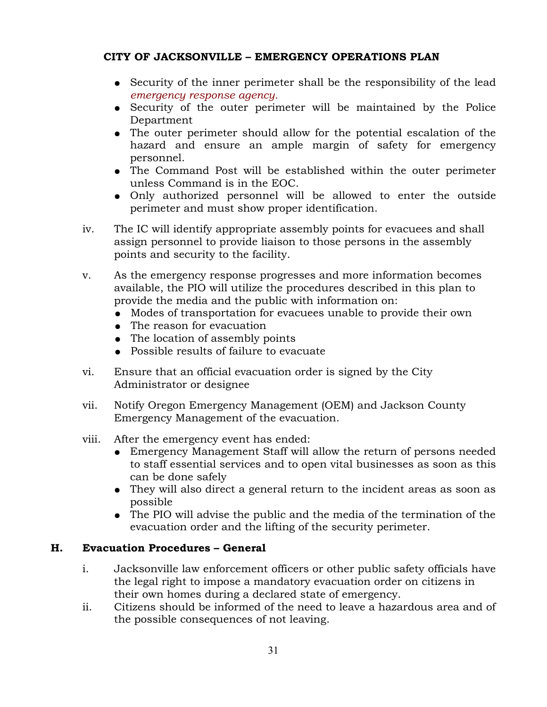- Security of the inner perimeter shall be the responsibility of the lead *emergency response agency.*
- Security of the outer perimeter will be maintained by the Police Department
- The outer perimeter should allow for the potential escalation of the hazard and ensure an ample margin of safety for emergency personnel.
- The Command Post will be established within the outer perimeter unless Command is in the EOC.
- Only authorized personnel will be allowed to enter the outside perimeter and must show proper identification.
- iv. The IC will identify appropriate assembly points for evacuees and shall assign personnel to provide liaison to those persons in the assembly points and security to the facility.
- v. As the emergency response progresses and more information becomes available, the PIO will utilize the procedures described in this plan to provide the media and the public with information on:
	- Modes of transportation for evacuees unable to provide their own
	- The reason for evacuation
	- The location of assembly points
	- Possible results of failure to evacuate
- vi. Ensure that an official evacuation order is signed by the City Administrator or designee
- vii. Notify Oregon Emergency Management (OEM) and Jackson County Emergency Management of the evacuation.
- viii. After the emergency event has ended:
	- Emergency Management Staff will allow the return of persons needed to staff essential services and to open vital businesses as soon as this can be done safely
	- They will also direct a general return to the incident areas as soon as possible
	- The PIO will advise the public and the media of the termination of the evacuation order and the lifting of the security perimeter.

## **H. Evacuation Procedures – General**

- i. Jacksonville law enforcement officers or other public safety officials have the legal right to impose a mandatory evacuation order on citizens in their own homes during a declared state of emergency.
- ii. Citizens should be informed of the need to leave a hazardous area and of the possible consequences of not leaving.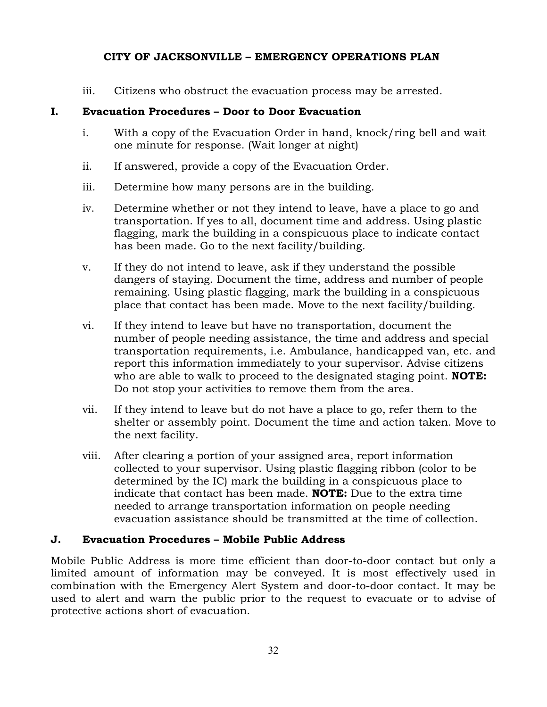iii. Citizens who obstruct the evacuation process may be arrested.

#### **I. Evacuation Procedures – Door to Door Evacuation**

- i. With a copy of the Evacuation Order in hand, knock/ring bell and wait one minute for response. (Wait longer at night)
- ii. If answered, provide a copy of the Evacuation Order.
- iii. Determine how many persons are in the building.
- iv. Determine whether or not they intend to leave, have a place to go and transportation. If yes to all, document time and address. Using plastic flagging, mark the building in a conspicuous place to indicate contact has been made. Go to the next facility/building.
- v. If they do not intend to leave, ask if they understand the possible dangers of staying. Document the time, address and number of people remaining. Using plastic flagging, mark the building in a conspicuous place that contact has been made. Move to the next facility/building.
- vi. If they intend to leave but have no transportation, document the number of people needing assistance, the time and address and special transportation requirements, i.e. Ambulance, handicapped van, etc. and report this information immediately to your supervisor. Advise citizens who are able to walk to proceed to the designated staging point. **NOTE:** Do not stop your activities to remove them from the area.
- vii. If they intend to leave but do not have a place to go, refer them to the shelter or assembly point. Document the time and action taken. Move to the next facility.
- viii. After clearing a portion of your assigned area, report information collected to your supervisor. Using plastic flagging ribbon (color to be determined by the IC) mark the building in a conspicuous place to indicate that contact has been made. **NOTE:** Due to the extra time needed to arrange transportation information on people needing evacuation assistance should be transmitted at the time of collection.

#### **J. Evacuation Procedures – Mobile Public Address**

Mobile Public Address is more time efficient than door-to-door contact but only a limited amount of information may be conveyed. It is most effectively used in combination with the Emergency Alert System and door-to-door contact. It may be used to alert and warn the public prior to the request to evacuate or to advise of protective actions short of evacuation.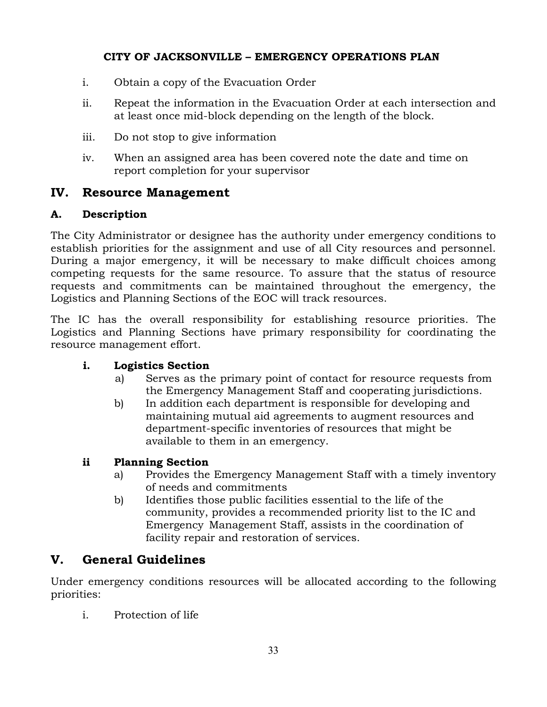- i. Obtain a copy of the Evacuation Order
- ii. Repeat the information in the Evacuation Order at each intersection and at least once mid-block depending on the length of the block.
- iii. Do not stop to give information
- iv. When an assigned area has been covered note the date and time on report completion for your supervisor

## **IV. Resource Management**

#### **A. Description**

The City Administrator or designee has the authority under emergency conditions to establish priorities for the assignment and use of all City resources and personnel. During a major emergency, it will be necessary to make difficult choices among competing requests for the same resource. To assure that the status of resource requests and commitments can be maintained throughout the emergency, the Logistics and Planning Sections of the EOC will track resources.

The IC has the overall responsibility for establishing resource priorities. The Logistics and Planning Sections have primary responsibility for coordinating the resource management effort.

#### **i. Logistics Section**

- a) Serves as the primary point of contact for resource requests from the Emergency Management Staff and cooperating jurisdictions.
- b) In addition each department is responsible for developing and maintaining mutual aid agreements to augment resources and department-specific inventories of resources that might be available to them in an emergency.

#### **ii Planning Section**

- a) Provides the Emergency Management Staff with a timely inventory of needs and commitments
- b) Identifies those public facilities essential to the life of the community, provides a recommended priority list to the IC and Emergency Management Staff, assists in the coordination of facility repair and restoration of services.

# **V. General Guidelines**

Under emergency conditions resources will be allocated according to the following priorities:

i. Protection of life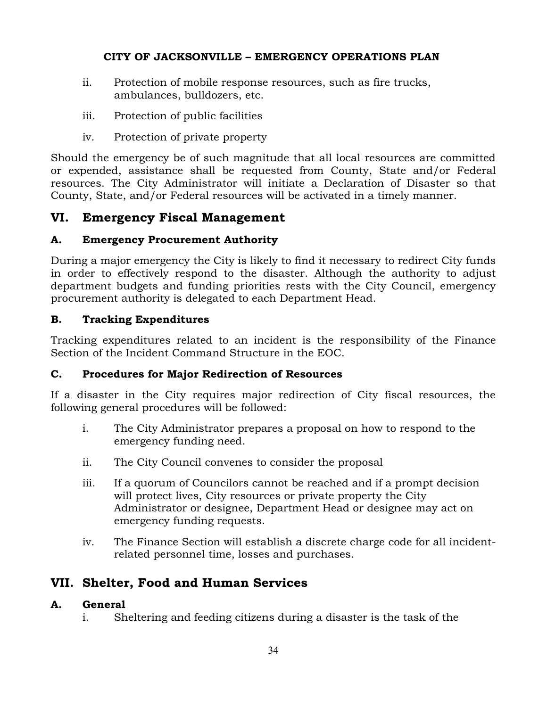- ii. Protection of mobile response resources, such as fire trucks, ambulances, bulldozers, etc.
- iii. Protection of public facilities
- iv. Protection of private property

Should the emergency be of such magnitude that all local resources are committed or expended, assistance shall be requested from County, State and/or Federal resources. The City Administrator will initiate a Declaration of Disaster so that County, State, and/or Federal resources will be activated in a timely manner.

# **VI. Emergency Fiscal Management**

#### **A. Emergency Procurement Authority**

During a major emergency the City is likely to find it necessary to redirect City funds in order to effectively respond to the disaster. Although the authority to adjust department budgets and funding priorities rests with the City Council, emergency procurement authority is delegated to each Department Head.

#### **B. Tracking Expenditures**

Tracking expenditures related to an incident is the responsibility of the Finance Section of the Incident Command Structure in the EOC.

#### **C. Procedures for Major Redirection of Resources**

If a disaster in the City requires major redirection of City fiscal resources, the following general procedures will be followed:

- i. The City Administrator prepares a proposal on how to respond to the emergency funding need.
- ii. The City Council convenes to consider the proposal
- iii. If a quorum of Councilors cannot be reached and if a prompt decision will protect lives, City resources or private property the City Administrator or designee, Department Head or designee may act on emergency funding requests.
- iv. The Finance Section will establish a discrete charge code for all incidentrelated personnel time, losses and purchases.

# **VII. Shelter, Food and Human Services**

#### **A. General**

i. Sheltering and feeding citizens during a disaster is the task of the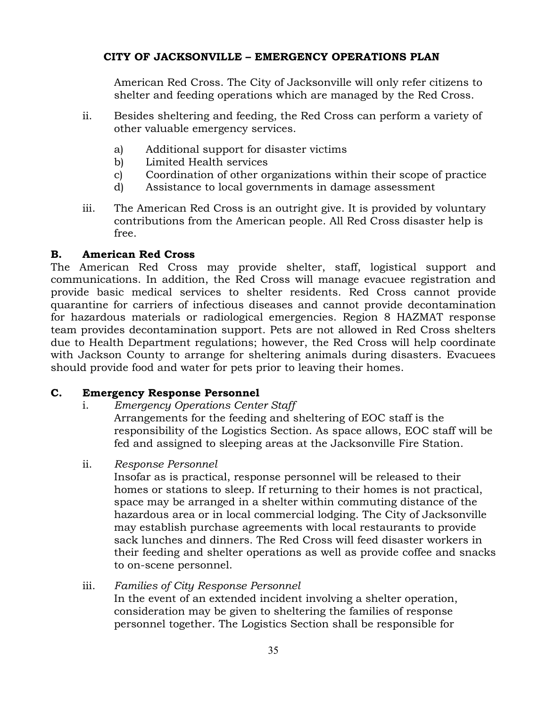American Red Cross. The City of Jacksonville will only refer citizens to shelter and feeding operations which are managed by the Red Cross.

- ii. Besides sheltering and feeding, the Red Cross can perform a variety of other valuable emergency services.
	- a) Additional support for disaster victims
	- b) Limited Health services
	- c) Coordination of other organizations within their scope of practice
	- d) Assistance to local governments in damage assessment
- iii. The American Red Cross is an outright give. It is provided by voluntary contributions from the American people. All Red Cross disaster help is free.

#### **B. American Red Cross**

The American Red Cross may provide shelter, staff, logistical support and communications. In addition, the Red Cross will manage evacuee registration and provide basic medical services to shelter residents. Red Cross cannot provide quarantine for carriers of infectious diseases and cannot provide decontamination for hazardous materials or radiological emergencies. Region 8 HAZMAT response team provides decontamination support. Pets are not allowed in Red Cross shelters due to Health Department regulations; however, the Red Cross will help coordinate with Jackson County to arrange for sheltering animals during disasters. Evacuees should provide food and water for pets prior to leaving their homes.

#### **C. Emergency Response Personnel**

- i. *Emergency Operations Center Staff* Arrangements for the feeding and sheltering of EOC staff is the responsibility of the Logistics Section. As space allows, EOC staff will be fed and assigned to sleeping areas at the Jacksonville Fire Station.
- ii. *Response Personnel*

Insofar as is practical, response personnel will be released to their homes or stations to sleep. If returning to their homes is not practical, space may be arranged in a shelter within commuting distance of the hazardous area or in local commercial lodging. The City of Jacksonville may establish purchase agreements with local restaurants to provide sack lunches and dinners. The Red Cross will feed disaster workers in their feeding and shelter operations as well as provide coffee and snacks to on-scene personnel.

iii. *Families of City Response Personnel* In the event of an extended incident involving a shelter operation, consideration may be given to sheltering the families of response personnel together. The Logistics Section shall be responsible for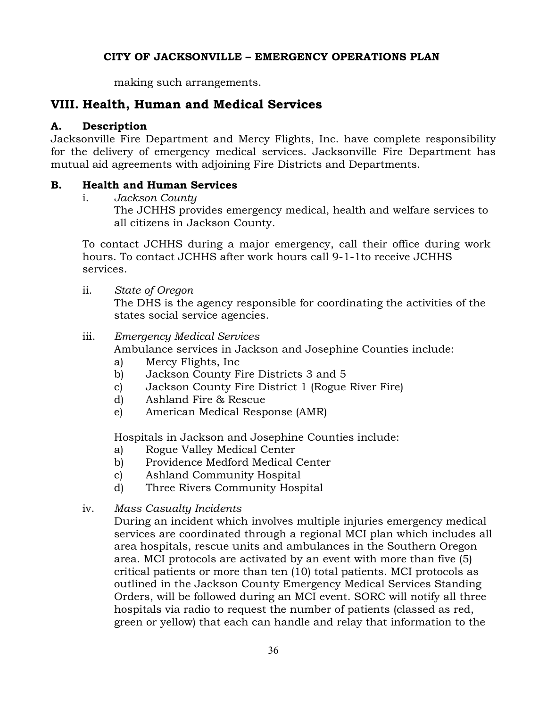making such arrangements.

# **VIII. Health, Human and Medical Services**

#### **A. Description**

Jacksonville Fire Department and Mercy Flights, Inc. have complete responsibility for the delivery of emergency medical services. Jacksonville Fire Department has mutual aid agreements with adjoining Fire Districts and Departments.

#### **B. Health and Human Services**

i. *Jackson County*

The JCHHS provides emergency medical, health and welfare services to all citizens in Jackson County.

To contact JCHHS during a major emergency, call their office during work hours. To contact JCHHS after work hours call 9-1-1to receive JCHHS services.

ii. *State of Oregon*

The DHS is the agency responsible for coordinating the activities of the states social service agencies.

#### iii. *Emergency Medical Services*

Ambulance services in Jackson and Josephine Counties include:

- a) Mercy Flights, Inc
- b) Jackson County Fire Districts 3 and 5
- c) Jackson County Fire District 1 (Rogue River Fire)
- d) Ashland Fire & Rescue
- e) American Medical Response (AMR)

Hospitals in Jackson and Josephine Counties include:

- a) Rogue Valley Medical Center
- b) Providence Medford Medical Center
- c) Ashland Community Hospital
- d) Three Rivers Community Hospital
- iv. *Mass Casualty Incidents*

During an incident which involves multiple injuries emergency medical services are coordinated through a regional MCI plan which includes all area hospitals, rescue units and ambulances in the Southern Oregon area. MCI protocols are activated by an event with more than five (5) critical patients or more than ten (10) total patients. MCI protocols as outlined in the Jackson County Emergency Medical Services Standing Orders, will be followed during an MCI event. SORC will notify all three hospitals via radio to request the number of patients (classed as red, green or yellow) that each can handle and relay that information to the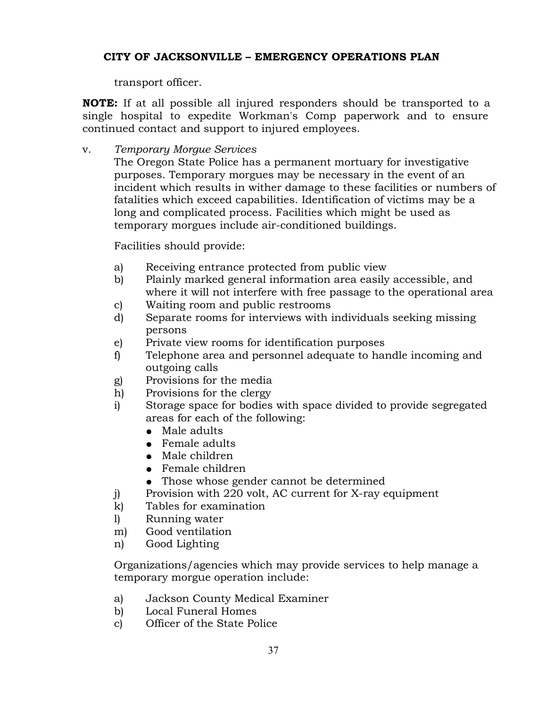transport officer.

**NOTE:** If at all possible all injured responders should be transported to a single hospital to expedite Workman's Comp paperwork and to ensure continued contact and support to injured employees.

v. *Temporary Morgue Services*

The Oregon State Police has a permanent mortuary for investigative purposes. Temporary morgues may be necessary in the event of an incident which results in wither damage to these facilities or numbers of fatalities which exceed capabilities. Identification of victims may be a long and complicated process. Facilities which might be used as temporary morgues include air-conditioned buildings.

Facilities should provide:

- a) Receiving entrance protected from public view
- b) Plainly marked general information area easily accessible, and where it will not interfere with free passage to the operational area
- c) Waiting room and public restrooms
- d) Separate rooms for interviews with individuals seeking missing persons
- e) Private view rooms for identification purposes
- f) Telephone area and personnel adequate to handle incoming and outgoing calls
- g) Provisions for the media
- h) Provisions for the clergy
- i) Storage space for bodies with space divided to provide segregated areas for each of the following:
	- Male adults
	- Female adults
	- Male children
	- Female children
	- Those whose gender cannot be determined
- j) Provision with 220 volt, AC current for X-ray equipment
- k) Tables for examination
- l) Running water
- m) Good ventilation
- n) Good Lighting

Organizations/agencies which may provide services to help manage a temporary morgue operation include:

- a) Jackson County Medical Examiner
- b) Local Funeral Homes
- c) Officer of the State Police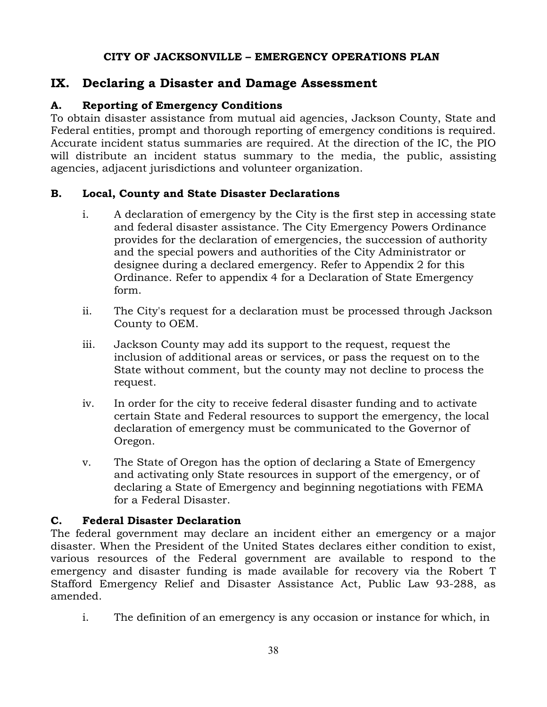## **IX. Declaring a Disaster and Damage Assessment**

## **A. Reporting of Emergency Conditions**

To obtain disaster assistance from mutual aid agencies, Jackson County, State and Federal entities, prompt and thorough reporting of emergency conditions is required. Accurate incident status summaries are required. At the direction of the IC, the PIO will distribute an incident status summary to the media, the public, assisting agencies, adjacent jurisdictions and volunteer organization.

## **B. Local, County and State Disaster Declarations**

- i. A declaration of emergency by the City is the first step in accessing state and federal disaster assistance. The City Emergency Powers Ordinance provides for the declaration of emergencies, the succession of authority and the special powers and authorities of the City Administrator or designee during a declared emergency. Refer to Appendix 2 for this Ordinance. Refer to appendix 4 for a Declaration of State Emergency form.
- ii. The City's request for a declaration must be processed through Jackson County to OEM.
- iii. Jackson County may add its support to the request, request the inclusion of additional areas or services, or pass the request on to the State without comment, but the county may not decline to process the request.
- iv. In order for the city to receive federal disaster funding and to activate certain State and Federal resources to support the emergency, the local declaration of emergency must be communicated to the Governor of Oregon.
- v. The State of Oregon has the option of declaring a State of Emergency and activating only State resources in support of the emergency, or of declaring a State of Emergency and beginning negotiations with FEMA for a Federal Disaster.

## **C. Federal Disaster Declaration**

The federal government may declare an incident either an emergency or a major disaster. When the President of the United States declares either condition to exist, various resources of the Federal government are available to respond to the emergency and disaster funding is made available for recovery via the Robert T Stafford Emergency Relief and Disaster Assistance Act, Public Law 93-288, as amended.

i. The definition of an emergency is any occasion or instance for which, in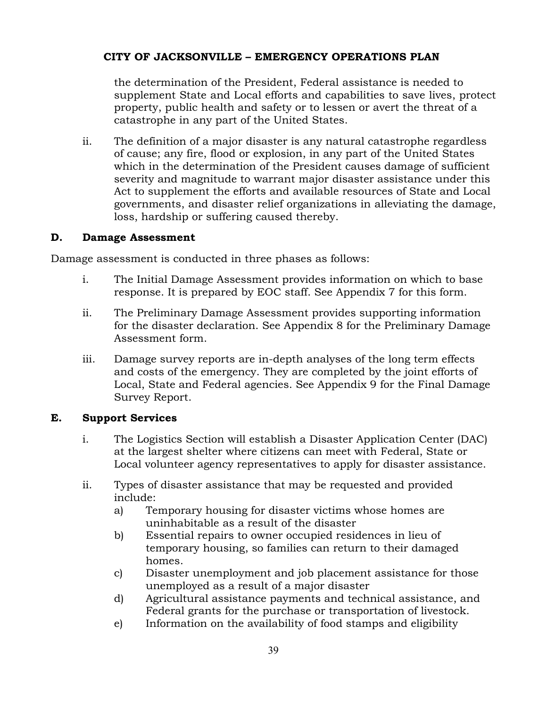the determination of the President, Federal assistance is needed to supplement State and Local efforts and capabilities to save lives, protect property, public health and safety or to lessen or avert the threat of a catastrophe in any part of the United States.

ii. The definition of a major disaster is any natural catastrophe regardless of cause; any fire, flood or explosion, in any part of the United States which in the determination of the President causes damage of sufficient severity and magnitude to warrant major disaster assistance under this Act to supplement the efforts and available resources of State and Local governments, and disaster relief organizations in alleviating the damage, loss, hardship or suffering caused thereby.

#### **D. Damage Assessment**

Damage assessment is conducted in three phases as follows:

- i. The Initial Damage Assessment provides information on which to base response. It is prepared by EOC staff. See Appendix 7 for this form.
- ii. The Preliminary Damage Assessment provides supporting information for the disaster declaration. See Appendix 8 for the Preliminary Damage Assessment form.
- iii. Damage survey reports are in-depth analyses of the long term effects and costs of the emergency. They are completed by the joint efforts of Local, State and Federal agencies. See Appendix 9 for the Final Damage Survey Report.

## **E. Support Services**

- i. The Logistics Section will establish a Disaster Application Center (DAC) at the largest shelter where citizens can meet with Federal, State or Local volunteer agency representatives to apply for disaster assistance.
- ii. Types of disaster assistance that may be requested and provided include:
	- a) Temporary housing for disaster victims whose homes are uninhabitable as a result of the disaster
	- b) Essential repairs to owner occupied residences in lieu of temporary housing, so families can return to their damaged homes.
	- c) Disaster unemployment and job placement assistance for those unemployed as a result of a major disaster
	- d) Agricultural assistance payments and technical assistance, and Federal grants for the purchase or transportation of livestock.
	- e) Information on the availability of food stamps and eligibility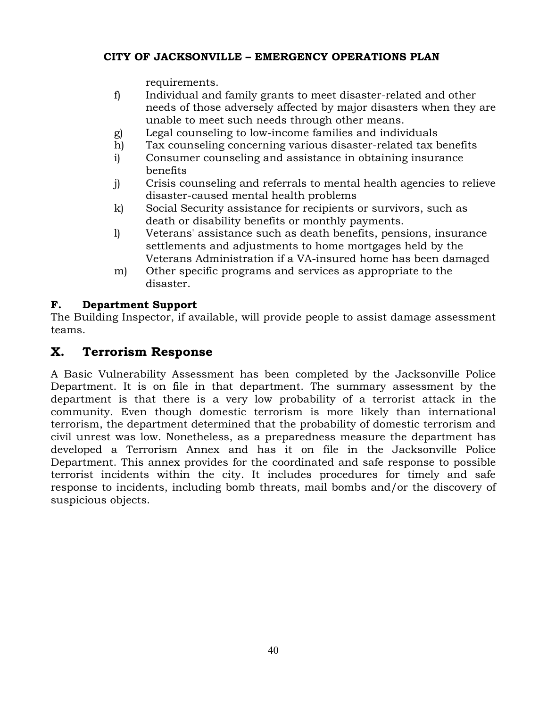requirements.

- f) Individual and family grants to meet disaster-related and other needs of those adversely affected by major disasters when they are unable to meet such needs through other means.
- g) Legal counseling to low-income families and individuals
- h) Tax counseling concerning various disaster-related tax benefits
- i) Consumer counseling and assistance in obtaining insurance benefits
- j) Crisis counseling and referrals to mental health agencies to relieve disaster-caused mental health problems
- k) Social Security assistance for recipients or survivors, such as death or disability benefits or monthly payments.
- l) Veterans' assistance such as death benefits, pensions, insurance settlements and adjustments to home mortgages held by the Veterans Administration if a VA-insured home has been damaged
- m) Other specific programs and services as appropriate to the disaster.

## **F. Department Support**

The Building Inspector, if available, will provide people to assist damage assessment teams.

## **X. Terrorism Response**

A Basic Vulnerability Assessment has been completed by the Jacksonville Police Department. It is on file in that department. The summary assessment by the department is that there is a very low probability of a terrorist attack in the community. Even though domestic terrorism is more likely than international terrorism, the department determined that the probability of domestic terrorism and civil unrest was low. Nonetheless, as a preparedness measure the department has developed a Terrorism Annex and has it on file in the Jacksonville Police Department. This annex provides for the coordinated and safe response to possible terrorist incidents within the city. It includes procedures for timely and safe response to incidents, including bomb threats, mail bombs and/or the discovery of suspicious objects.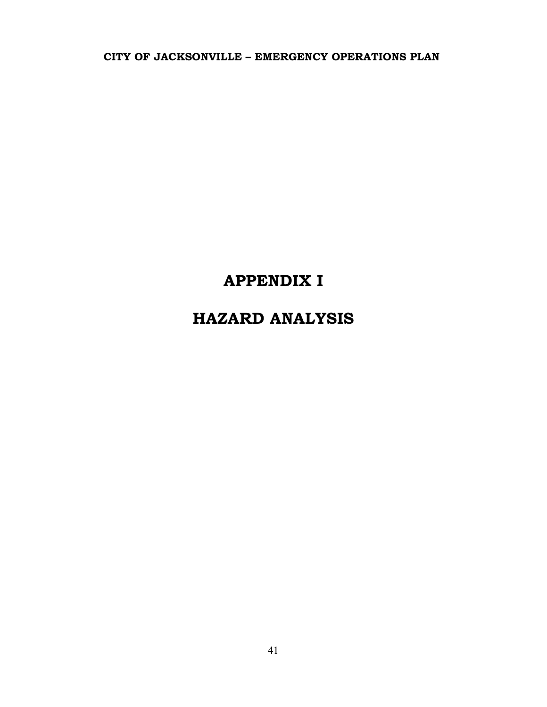# **APPENDIX I**

# **HAZARD ANALYSIS**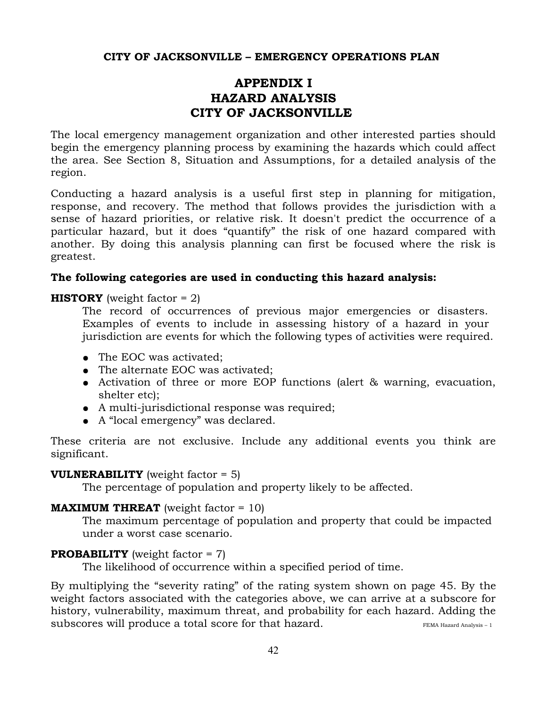## **APPENDIX I HAZARD ANALYSIS CITY OF JACKSONVILLE**

The local emergency management organization and other interested parties should begin the emergency planning process by examining the hazards which could affect the area. See Section 8, Situation and Assumptions, for a detailed analysis of the region.

Conducting a hazard analysis is a useful first step in planning for mitigation, response, and recovery. The method that follows provides the jurisdiction with a sense of hazard priorities, or relative risk. It doesn't predict the occurrence of a particular hazard, but it does "quantify" the risk of one hazard compared with another. By doing this analysis planning can first be focused where the risk is greatest.

#### **The following categories are used in conducting this hazard analysis:**

#### **HISTORY** (weight factor  $= 2$ )

The record of occurrences of previous major emergencies or disasters. Examples of events to include in assessing history of a hazard in your jurisdiction are events for which the following types of activities were required.

- The EOC was activated;
- The alternate EOC was activated;
- Activation of three or more EOP functions (alert & warning, evacuation, shelter etc);
- A multi-jurisdictional response was required;
- A "local emergency" was declared.

These criteria are not exclusive. Include any additional events you think are significant.

#### **VULNERABILITY** (weight factor = 5)

The percentage of population and property likely to be affected.

#### **MAXIMUM THREAT** (weight factor = 10)

The maximum percentage of population and property that could be impacted under a worst case scenario.

## **PROBABILITY** (weight factor = 7)

The likelihood of occurrence within a specified period of time.

By multiplying the "severity rating" of the rating system shown on page 45. By the weight factors associated with the categories above, we can arrive at a subscore for history, vulnerability, maximum threat, and probability for each hazard. Adding the subscores will produce a total score for that hazard. FEMA Hazard Analysis-1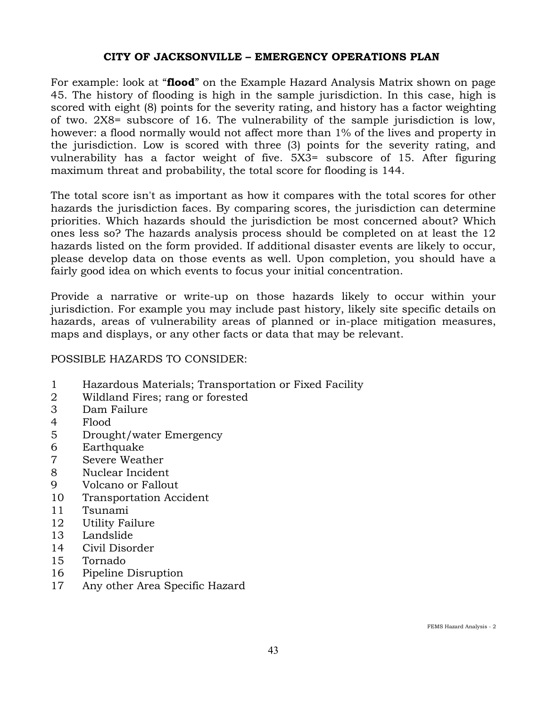For example: look at "**flood**" on the Example Hazard Analysis Matrix shown on page 45. The history of flooding is high in the sample jurisdiction. In this case, high is scored with eight (8) points for the severity rating, and history has a factor weighting of two. 2X8= subscore of 16. The vulnerability of the sample jurisdiction is low, however: a flood normally would not affect more than 1% of the lives and property in the jurisdiction. Low is scored with three (3) points for the severity rating, and vulnerability has a factor weight of five. 5X3= subscore of 15. After figuring maximum threat and probability, the total score for flooding is 144.

The total score isn't as important as how it compares with the total scores for other hazards the jurisdiction faces. By comparing scores, the jurisdiction can determine priorities. Which hazards should the jurisdiction be most concerned about? Which ones less so? The hazards analysis process should be completed on at least the 12 hazards listed on the form provided. If additional disaster events are likely to occur, please develop data on those events as well. Upon completion, you should have a fairly good idea on which events to focus your initial concentration.

Provide a narrative or write-up on those hazards likely to occur within your jurisdiction. For example you may include past history, likely site specific details on hazards, areas of vulnerability areas of planned or in-place mitigation measures, maps and displays, or any other facts or data that may be relevant.

## POSSIBLE HAZARDS TO CONSIDER:

- 1 Hazardous Materials; Transportation or Fixed Facility
- 2 Wildland Fires; rang or forested
- 3 Dam Failure
- 4 Flood
- 5 Drought/water Emergency
- 6 Earthquake
- 7 Severe Weather
- 8 Nuclear Incident
- 9 Volcano or Fallout
- 10 Transportation Accident
- 11 Tsunami
- 12 Utility Failure
- 13 Landslide
- 14 Civil Disorder
- 15 Tornado
- 16 Pipeline Disruption
- 17 Any other Area Specific Hazard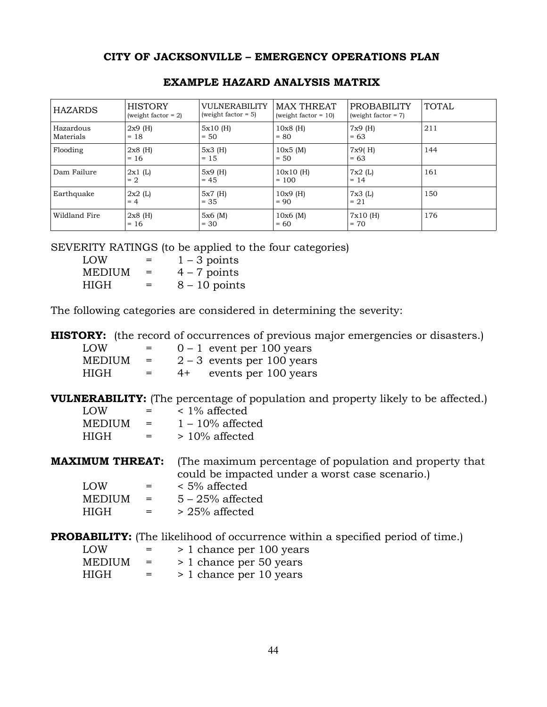| <b>HAZARDS</b>         | <b>HISTORY</b><br>(weight factor $= 2$ ) | <b>VULNERABILITY</b><br>(weight factor $= 5$ ) | <b>MAX THREAT</b><br>(weight factor $= 10$ ) | <b>PROBABILITY</b><br>(weight factor $= 7$ ) | <b>TOTAL</b> |
|------------------------|------------------------------------------|------------------------------------------------|----------------------------------------------|----------------------------------------------|--------------|
| Hazardous<br>Materials | $2x9$ (H)<br>$= 18$                      | $5x10$ (H)<br>$= 50$                           | $10x8$ (H)<br>$= 80$                         | $7x9$ (H)<br>$= 63$                          | 211          |
| Flooding               | $2x8$ (H)<br>$= 16$                      | 5x3(H)<br>$= 15$                               | 10x5(M)<br>$= 50$                            | 7x9(H)<br>$= 63$                             | 144          |
| Dam Failure            | 2x1(L)<br>$= 2$                          | $5x9$ (H)<br>$= 45$                            | $10x10$ (H)<br>$= 100$                       | 7x2(L)<br>$= 14$                             | 161          |
| Earthquake             | 2x2(L)<br>$= 4$                          | $5x7$ (H)<br>$= 35$                            | $10x9$ (H)<br>$= 90$                         | 7x3(L)<br>$= 21$                             | 150          |
| Wildland Fire          | $2x8$ (H)<br>$= 16$                      | 5x6(M)<br>$= 30$                               | 10x6(M)<br>$= 60$                            | 7x10(H)<br>$= 70$                            | 176          |

#### **EXAMPLE HAZARD ANALYSIS MATRIX**

SEVERITY RATINGS (to be applied to the four categories)

| <b>LOW</b>    | $=$ | $1 - 3$ points  |
|---------------|-----|-----------------|
| <b>MEDIUM</b> | $=$ | $4 - 7$ points  |
| HIGH          | $=$ | $8 - 10$ points |

The following categories are considered in determining the severity:

**HISTORY:** (the record of occurrences of previous major emergencies or disasters.)

| LOW           | $=$ |      | $0 - 1$ event per 100 years  |
|---------------|-----|------|------------------------------|
| <b>MEDIUM</b> | $=$ |      | $2 - 3$ events per 100 years |
| HIGH          | $=$ | $4+$ | events per 100 years         |

**VULNERABILITY:** (The percentage of population and property likely to be affected.)

| LOW    | $=$ | $\leq 1\%$ affected |
|--------|-----|---------------------|
| MEDIUM | $=$ | $1 - 10\%$ affected |
| HIGH   | $=$ | $>10\%$ affected    |

**MAXIMUM THREAT:** (The maximum percentage of population and property that could be impacted under a worst case scenario.)

| LOW.          | $=$ | $\leq 5\%$ affected |
|---------------|-----|---------------------|
| <b>MEDIUM</b> | $=$ | $5 - 25\%$ affected |
| HIGH.         | $=$ | $> 25\%$ affected   |

**PROBABILITY:** (The likelihood of occurrence within a specified period of time.)

| <b>LOW</b> | $=$ | > 1 chance per 100 years |
|------------|-----|--------------------------|
| MEDIUM     | $=$ | > 1 chance per 50 years  |
| HIGH       | $=$ | > 1 chance per 10 years  |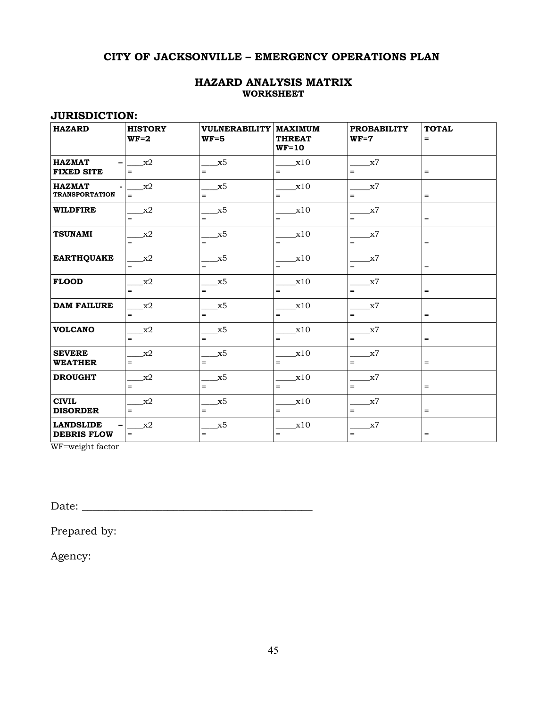#### **HAZARD ANALYSIS MATRIX WORKSHEET**

#### **JURISDICTION:**

| <b>HAZARD</b>                          | <b>HISTORY</b><br>$WF=2$ | VULNERABILITY   MAXIMUM<br>$WF=5$ | <b>THREAT</b><br>$WF=10$ | <b>PROBABILITY</b><br>$WF=7$ | <b>TOTAL</b><br>$=$ |
|----------------------------------------|--------------------------|-----------------------------------|--------------------------|------------------------------|---------------------|
| <b>HAZMAT</b><br><b>FIXED SITE</b>     | x2<br>$\equiv$           | x5<br>$\equiv$                    | x10<br>$=$               | x7<br>$\equiv$               | $=$                 |
| <b>HAZMAT</b><br><b>TRANSPORTATION</b> | x2<br>$=$                | x5<br>$=$                         | x10<br>$=$               | x7<br>$=$                    | $=$                 |
| <b>WILDFIRE</b>                        | x2<br>$=$                | x5<br>$=$                         | x10<br>$\qquad \qquad =$ | x7<br>$\equiv$               | $=$                 |
| <b>TSUNAMI</b>                         | x2<br>$=$                | x5<br>$\equiv$                    | x10<br>$\qquad \qquad =$ | x7<br>$\equiv$               | $=$                 |
| <b>EARTHQUAKE</b>                      | x2<br>$=$                | x5<br>$=$                         | x10<br>$\qquad \qquad =$ | x7<br>$=$                    | $=$                 |
| <b>FLOOD</b>                           | x2<br>$=$                | $\_x5$<br>$\equiv$                | x10<br>$=$               | x7<br>$\equiv$               | $\qquad \qquad =$   |
| <b>DAM FAILURE</b>                     | x2<br>$=$                | x5<br>$\equiv$                    | x10<br>$\qquad \qquad =$ | x7<br>$\equiv$               | $=$                 |
| <b>VOLCANO</b>                         | x2<br>$=$                | x5<br>$\equiv$                    | x10<br>$\qquad \qquad =$ | x7<br>$\equiv$               | $=$                 |
| <b>SEVERE</b><br><b>WEATHER</b>        | x2<br>$=$                | x5<br>$=$                         | x10<br>$=$               | x7<br>$\equiv$               | $=$                 |
| <b>DROUGHT</b>                         | x2<br>$=$                | x5<br>$=$                         | x10<br>$=$               | x7<br>$=$                    | $=$                 |
| <b>CIVIL</b><br><b>DISORDER</b>        | x2<br>$=$                | x5<br>$\equiv$                    | x10<br>$=$               | x7<br>$=$                    | $=$                 |
| <b>LANDSLIDE</b><br><b>DEBRIS FLOW</b> | x2<br>$\equiv$           | x5<br>$\equiv$                    | x10<br>$\qquad \qquad =$ | x7<br>$\equiv$               | $\equiv$            |

WF=weight factor

Date: \_\_\_\_\_\_\_\_\_\_\_\_\_\_\_\_\_\_\_\_\_\_\_\_\_\_\_\_\_\_\_\_\_\_\_\_\_\_\_\_\_\_\_

Prepared by:

Agency: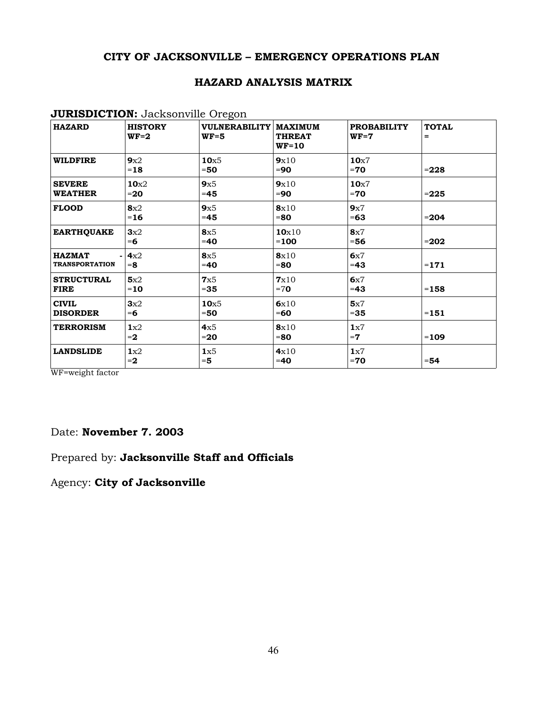#### **HAZARD ANALYSIS MATRIX**

#### **JURISDICTION:** Jacksonville Oregon

| <b>HAZARD</b>                          | <b>HISTORY</b><br>$WF=2$  | <b>VULNERABILITY</b><br>$WF=5$ | <b>MAXIMUM</b><br><b>THREAT</b><br><b>WF=10</b> | <b>PROBABILITY</b><br>$WF=7$ | <b>TOTAL</b><br>= |
|----------------------------------------|---------------------------|--------------------------------|-------------------------------------------------|------------------------------|-------------------|
| <b>WILDFIRE</b>                        | 9x2<br>$=18$              | 10 <sub>x5</sub><br>$=50$      | 9x10<br>$=90$                                   | 10 <sub>x</sub> 7<br>$=70$   | $= 228$           |
| <b>SEVERE</b><br><b>WEATHER</b>        | 10 <sub>x2</sub><br>$=20$ | 9x5<br>$= 45$                  | 9x10<br>$=90$                                   | 10 <sub>x7</sub><br>$=70$    | $= 225$           |
| <b>FLOOD</b>                           | 8x2<br>$=16$              | 9x5<br>$=45$                   | 8x10<br>$= 80$                                  | 9x7<br>$=63$                 | $= 204$           |
| <b>EARTHQUAKE</b>                      | 3x2<br>$= 6$              | 8x5<br>$=40$                   | 10x10<br>$=100$                                 | 8x7<br>$= 56$                | $= 202$           |
| <b>HAZMAT</b><br><b>TRANSPORTATION</b> | 4x2<br>$= 8$              | 8x5<br>$=40$                   | 8x10<br>$= 80$                                  | 6x7<br>$=43$                 | $=171$            |
| <b>STRUCTURAL</b><br><b>FIRE</b>       | 5x2<br>$=10$              | 7x5<br>$= 35$                  | 7x10<br>$=70$                                   | 6x7<br>$=43$                 | $=158$            |
| <b>CIVIL</b><br><b>DISORDER</b>        | 3x2<br>$= 6$              | 10 <sub>x5</sub><br>$=50$      | 6x10<br>$=60$                                   | 5x7<br>$= 35$                | $=151$            |
| <b>TERRORISM</b>                       | 1x2<br>$= 2$              | 4x5<br>$=20$                   | 8x10<br>$= 80$                                  | 1x7<br>$=7$                  | $=109$            |
| <b>LANDSLIDE</b>                       | 1x2<br>$=2$               | 1x5<br>$= 5$                   | 4x10<br>$=40$                                   | 1x7<br>$=70$                 | $= 54$            |

WF=weight factor

#### Date: **November 7. 2003**

## Prepared by: **Jacksonville Staff and Officials**

Agency: **City of Jacksonville**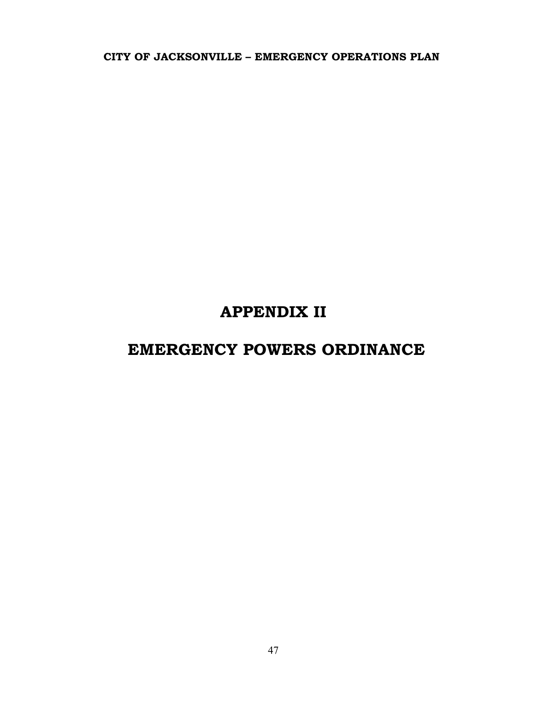# **APPENDIX II**

## **EMERGENCY POWERS ORDINANCE**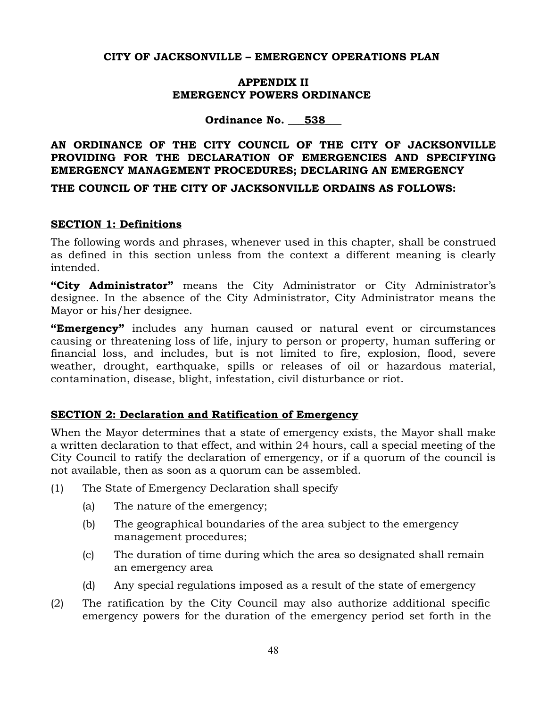#### **APPENDIX II EMERGENCY POWERS ORDINANCE**

**Ordinance No. \_\_\_538\_\_\_**

## **AN ORDINANCE OF THE CITY COUNCIL OF THE CITY OF JACKSONVILLE PROVIDING FOR THE DECLARATION OF EMERGENCIES AND SPECIFYING EMERGENCY MANAGEMENT PROCEDURES; DECLARING AN EMERGENCY**

**THE COUNCIL OF THE CITY OF JACKSONVILLE ORDAINS AS FOLLOWS:**

#### **SECTION 1: Definitions**

The following words and phrases, whenever used in this chapter, shall be construed as defined in this section unless from the context a different meaning is clearly intended.

**"City Administrator"** means the City Administrator or City Administrator's designee. In the absence of the City Administrator, City Administrator means the Mayor or his/her designee.

**"Emergency"** includes any human caused or natural event or circumstances causing or threatening loss of life, injury to person or property, human suffering or financial loss, and includes, but is not limited to fire, explosion, flood, severe weather, drought, earthquake, spills or releases of oil or hazardous material, contamination, disease, blight, infestation, civil disturbance or riot.

## **SECTION 2: Declaration and Ratification of Emergency**

When the Mayor determines that a state of emergency exists, the Mayor shall make a written declaration to that effect, and within 24 hours, call a special meeting of the City Council to ratify the declaration of emergency, or if a quorum of the council is not available, then as soon as a quorum can be assembled.

- (1) The State of Emergency Declaration shall specify
	- (a) The nature of the emergency;
	- (b) The geographical boundaries of the area subject to the emergency management procedures;
	- (c) The duration of time during which the area so designated shall remain an emergency area
	- (d) Any special regulations imposed as a result of the state of emergency
- (2) The ratification by the City Council may also authorize additional specific emergency powers for the duration of the emergency period set forth in the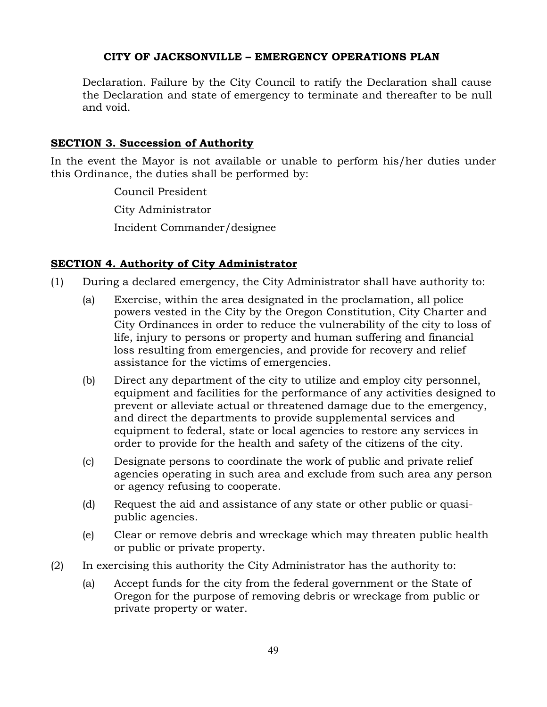Declaration. Failure by the City Council to ratify the Declaration shall cause the Declaration and state of emergency to terminate and thereafter to be null and void.

#### **SECTION 3. Succession of Authority**

In the event the Mayor is not available or unable to perform his/her duties under this Ordinance, the duties shall be performed by:

> Council President City Administrator Incident Commander/designee

## **SECTION 4. Authority of City Administrator**

- (1) During a declared emergency, the City Administrator shall have authority to:
	- (a) Exercise, within the area designated in the proclamation, all police powers vested in the City by the Oregon Constitution, City Charter and City Ordinances in order to reduce the vulnerability of the city to loss of life, injury to persons or property and human suffering and financial loss resulting from emergencies, and provide for recovery and relief assistance for the victims of emergencies.
	- (b) Direct any department of the city to utilize and employ city personnel, equipment and facilities for the performance of any activities designed to prevent or alleviate actual or threatened damage due to the emergency, and direct the departments to provide supplemental services and equipment to federal, state or local agencies to restore any services in order to provide for the health and safety of the citizens of the city.
	- (c) Designate persons to coordinate the work of public and private relief agencies operating in such area and exclude from such area any person or agency refusing to cooperate.
	- (d) Request the aid and assistance of any state or other public or quasipublic agencies.
	- (e) Clear or remove debris and wreckage which may threaten public health or public or private property.
- (2) In exercising this authority the City Administrator has the authority to:
	- (a) Accept funds for the city from the federal government or the State of Oregon for the purpose of removing debris or wreckage from public or private property or water.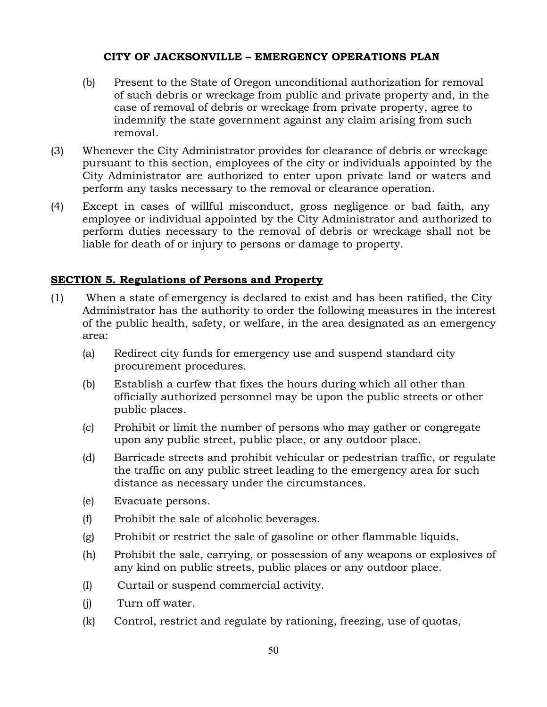- (b) Present to the State of Oregon unconditional authorization for removal of such debris or wreckage from public and private property and, in the case of removal of debris or wreckage from private property, agree to indemnify the state government against any claim arising from such removal.
- (3) Whenever the City Administrator provides for clearance of debris or wreckage pursuant to this section, employees of the city or individuals appointed by the City Administrator are authorized to enter upon private land or waters and perform any tasks necessary to the removal or clearance operation.
- (4) Except in cases of willful misconduct, gross negligence or bad faith, any employee or individual appointed by the City Administrator and authorized to perform duties necessary to the removal of debris or wreckage shall not be liable for death of or injury to persons or damage to property.

## **SECTION 5. Regulations of Persons and Property**

- (1) When a state of emergency is declared to exist and has been ratified, the City Administrator has the authority to order the following measures in the interest of the public health, safety, or welfare, in the area designated as an emergency area:
	- (a) Redirect city funds for emergency use and suspend standard city procurement procedures.
	- (b) Establish a curfew that fixes the hours during which all other than officially authorized personnel may be upon the public streets or other public places.
	- (c) Prohibit or limit the number of persons who may gather or congregate upon any public street, public place, or any outdoor place.
	- (d) Barricade streets and prohibit vehicular or pedestrian traffic, or regulate the traffic on any public street leading to the emergency area for such distance as necessary under the circumstances.
	- (e) Evacuate persons.
	- (f) Prohibit the sale of alcoholic beverages.
	- (g) Prohibit or restrict the sale of gasoline or other flammable liquids.
	- (h) Prohibit the sale, carrying, or possession of any weapons or explosives of any kind on public streets, public places or any outdoor place.
	- (I) Curtail or suspend commercial activity.
	- (j) Turn off water.
	- (k) Control, restrict and regulate by rationing, freezing, use of quotas,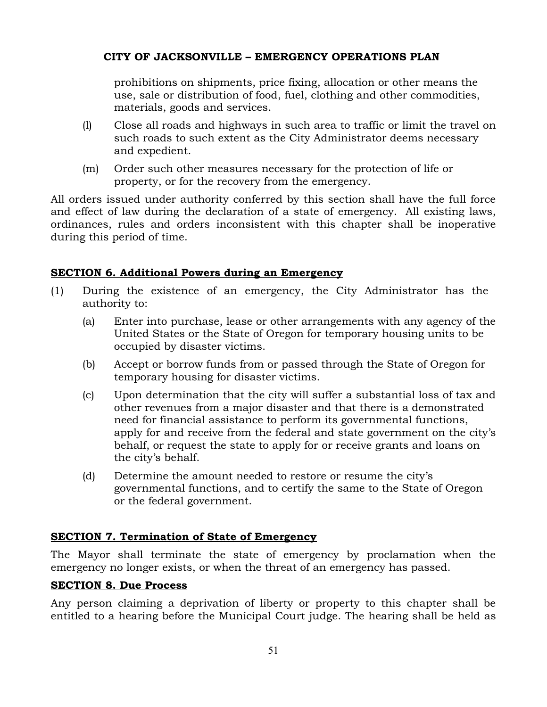prohibitions on shipments, price fixing, allocation or other means the use, sale or distribution of food, fuel, clothing and other commodities, materials, goods and services.

- (l) Close all roads and highways in such area to traffic or limit the travel on such roads to such extent as the City Administrator deems necessary and expedient.
- (m) Order such other measures necessary for the protection of life or property, or for the recovery from the emergency.

All orders issued under authority conferred by this section shall have the full force and effect of law during the declaration of a state of emergency. All existing laws, ordinances, rules and orders inconsistent with this chapter shall be inoperative during this period of time.

## **SECTION 6. Additional Powers during an Emergency**

- (1) During the existence of an emergency, the City Administrator has the authority to:
	- (a) Enter into purchase, lease or other arrangements with any agency of the United States or the State of Oregon for temporary housing units to be occupied by disaster victims.
	- (b) Accept or borrow funds from or passed through the State of Oregon for temporary housing for disaster victims.
	- (c) Upon determination that the city will suffer a substantial loss of tax and other revenues from a major disaster and that there is a demonstrated need for financial assistance to perform its governmental functions, apply for and receive from the federal and state government on the city's behalf, or request the state to apply for or receive grants and loans on the city's behalf.
	- (d) Determine the amount needed to restore or resume the city's governmental functions, and to certify the same to the State of Oregon or the federal government.

## **SECTION 7. Termination of State of Emergency**

The Mayor shall terminate the state of emergency by proclamation when the emergency no longer exists, or when the threat of an emergency has passed.

## **SECTION 8. Due Process**

Any person claiming a deprivation of liberty or property to this chapter shall be entitled to a hearing before the Municipal Court judge. The hearing shall be held as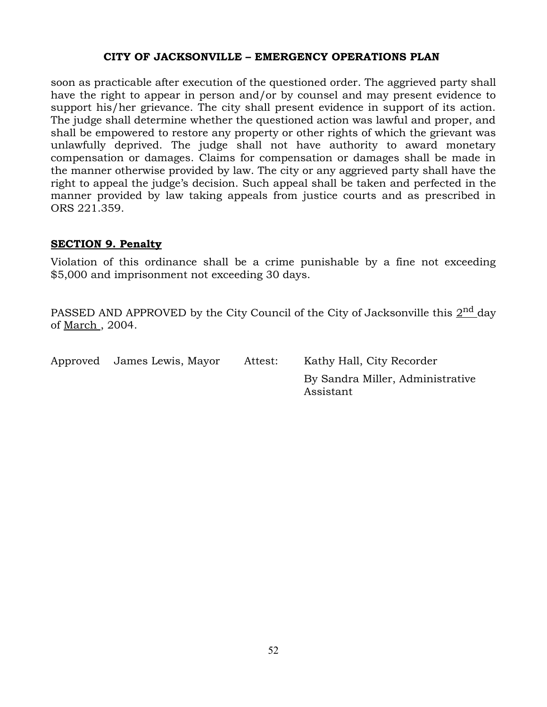soon as practicable after execution of the questioned order. The aggrieved party shall have the right to appear in person and/or by counsel and may present evidence to support his/her grievance. The city shall present evidence in support of its action. The judge shall determine whether the questioned action was lawful and proper, and shall be empowered to restore any property or other rights of which the grievant was unlawfully deprived. The judge shall not have authority to award monetary compensation or damages. Claims for compensation or damages shall be made in the manner otherwise provided by law. The city or any aggrieved party shall have the right to appeal the judge's decision. Such appeal shall be taken and perfected in the manner provided by law taking appeals from justice courts and as prescribed in ORS 221.359.

#### **SECTION 9. Penalty**

Violation of this ordinance shall be a crime punishable by a fine not exceeding \$5,000 and imprisonment not exceeding 30 days.

PASSED AND APPROVED by the City Council of the City of Jacksonville this  $2^{\rm nd}$  day of March , 2004.

| Approved James Lewis, Mayor | Attest: | Kathy Hall, City Recorder                     |
|-----------------------------|---------|-----------------------------------------------|
|                             |         | By Sandra Miller, Administrative<br>Assistant |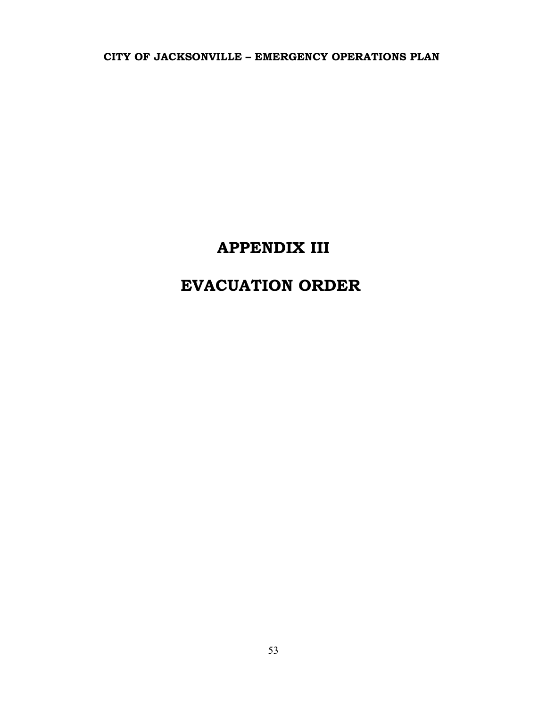## **APPENDIX III**

# **EVACUATION ORDER**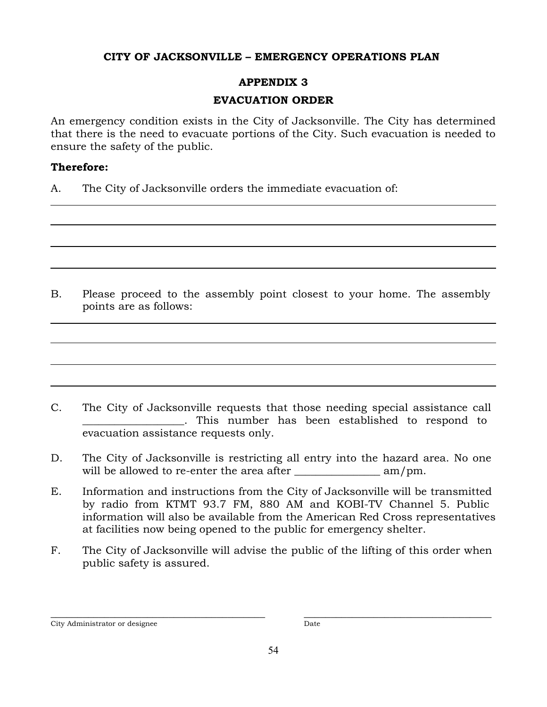## **APPENDIX 3**

## **EVACUATION ORDER**

An emergency condition exists in the City of Jacksonville. The City has determined that there is the need to evacuate portions of the City. Such evacuation is needed to ensure the safety of the public.

## **Therefore:**

A. The City of Jacksonville orders the immediate evacuation of:

B. Please proceed to the assembly point closest to your home. The assembly points are as follows:

- C. The City of Jacksonville requests that those needing special assistance call \_\_\_\_\_\_\_\_\_\_\_\_\_\_\_\_\_\_\_. This number has been established to respond to evacuation assistance requests only.
- D. The City of Jacksonville is restricting all entry into the hazard area. No one will be allowed to re-enter the area after \_\_\_\_\_\_\_\_\_\_\_\_\_\_\_\_ am/pm.
- E. Information and instructions from the City of Jacksonville will be transmitted by radio from KTMT 93.7 FM, 880 AM and KOBI-TV Channel 5. Public information will also be available from the American Red Cross representatives at facilities now being opened to the public for emergency shelter.
- F. The City of Jacksonville will advise the public of the lifting of this order when public safety is assured.

\_\_\_\_\_\_\_\_\_\_\_\_\_\_\_\_\_\_\_\_\_\_\_\_\_\_\_\_\_\_\_\_\_\_\_\_\_\_\_\_ \_\_\_\_\_\_\_\_\_\_\_\_\_\_\_\_\_\_\_\_\_\_\_\_\_\_\_\_\_\_\_\_\_\_\_ City Administrator or designee Date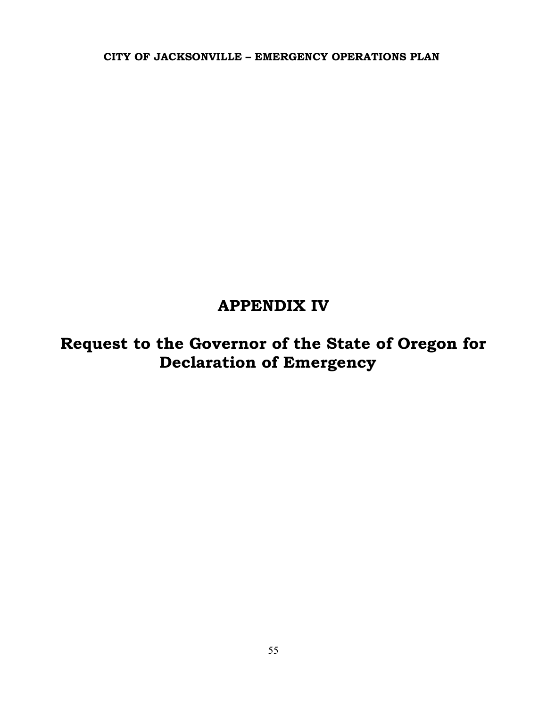## **APPENDIX IV**

**Request to the Governor of the State of Oregon for Declaration of Emergency**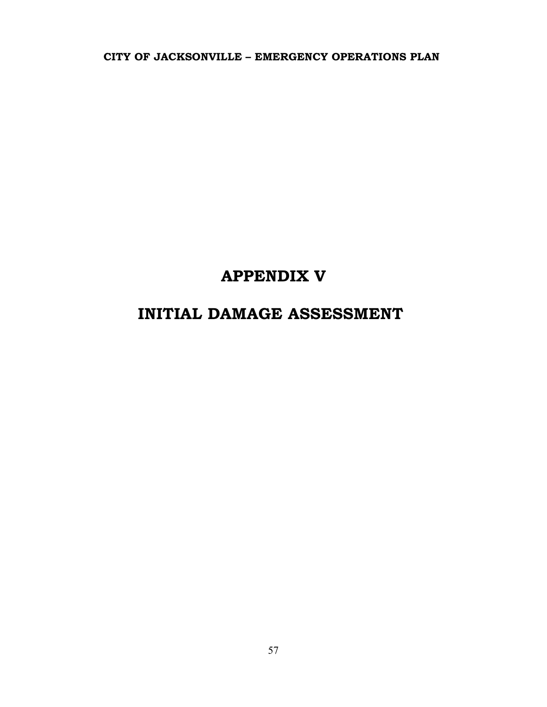# **APPENDIX V**

## **INITIAL DAMAGE ASSESSMENT**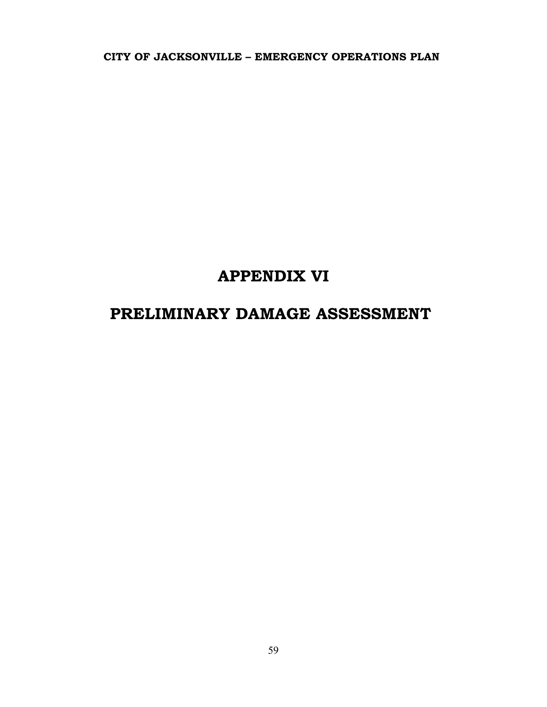## **APPENDIX VI**

# **PRELIMINARY DAMAGE ASSESSMENT**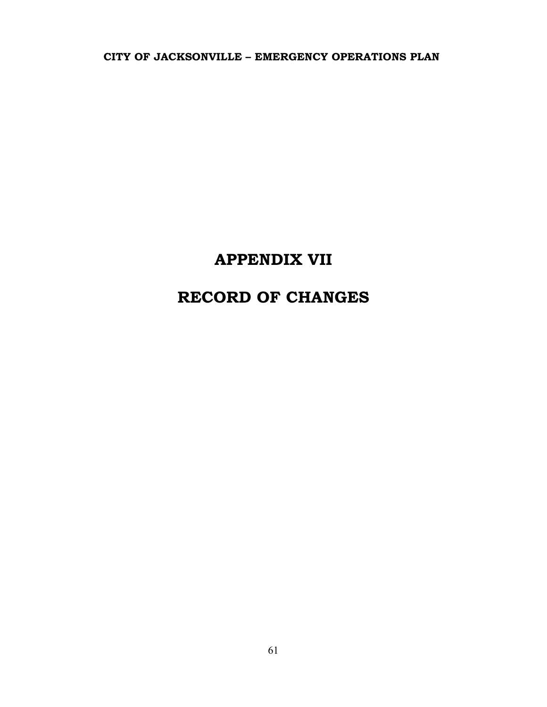# **APPENDIX VII**

# **RECORD OF CHANGES**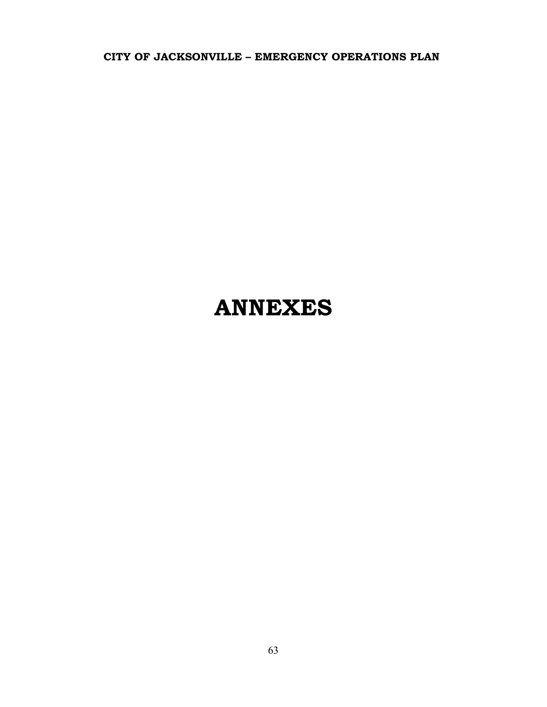# **ANNEXES**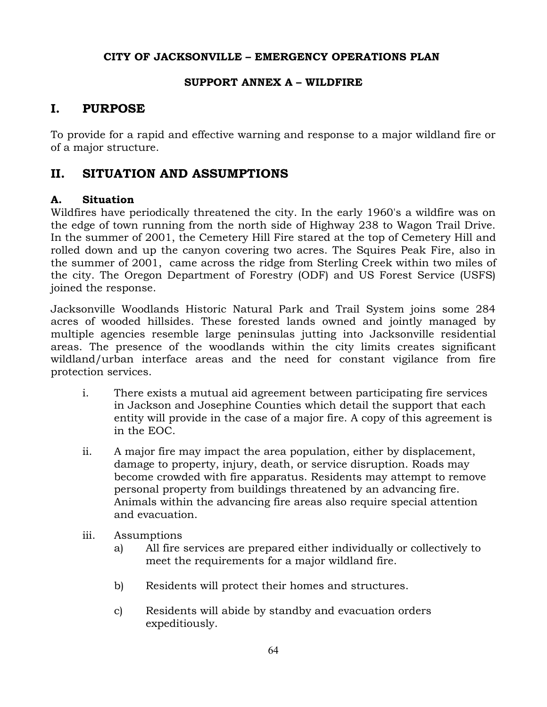#### **SUPPORT ANNEX A – WILDFIRE**

## **I. PURPOSE**

To provide for a rapid and effective warning and response to a major wildland fire or of a major structure.

## **II. SITUATION AND ASSUMPTIONS**

## **A. Situation**

Wildfires have periodically threatened the city. In the early 1960's a wildfire was on the edge of town running from the north side of Highway 238 to Wagon Trail Drive. In the summer of 2001, the Cemetery Hill Fire stared at the top of Cemetery Hill and rolled down and up the canyon covering two acres. The Squires Peak Fire, also in the summer of 2001, came across the ridge from Sterling Creek within two miles of the city. The Oregon Department of Forestry (ODF) and US Forest Service (USFS) joined the response.

Jacksonville Woodlands Historic Natural Park and Trail System joins some 284 acres of wooded hillsides. These forested lands owned and jointly managed by multiple agencies resemble large peninsulas jutting into Jacksonville residential areas. The presence of the woodlands within the city limits creates significant wildland/urban interface areas and the need for constant vigilance from fire protection services.

- i. There exists a mutual aid agreement between participating fire services in Jackson and Josephine Counties which detail the support that each entity will provide in the case of a major fire. A copy of this agreement is in the EOC.
- ii. A major fire may impact the area population, either by displacement, damage to property, injury, death, or service disruption. Roads may become crowded with fire apparatus. Residents may attempt to remove personal property from buildings threatened by an advancing fire. Animals within the advancing fire areas also require special attention and evacuation.
- iii. Assumptions
	- a) All fire services are prepared either individually or collectively to meet the requirements for a major wildland fire.
	- b) Residents will protect their homes and structures.
	- c) Residents will abide by standby and evacuation orders expeditiously.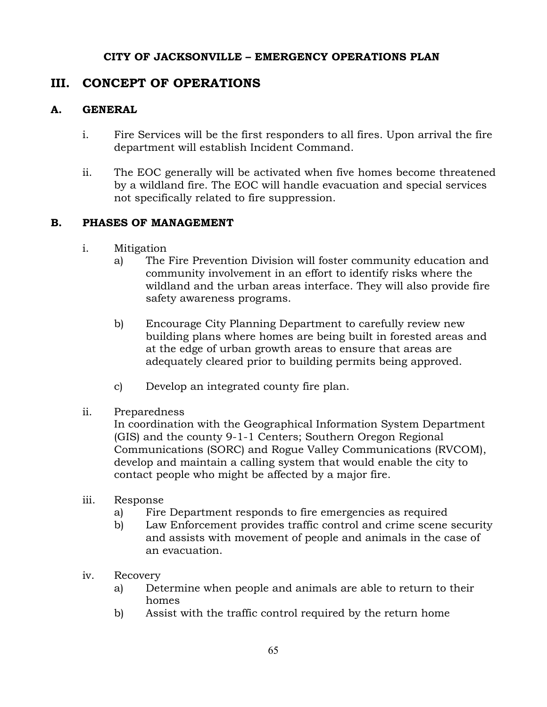## **III. CONCEPT OF OPERATIONS**

#### **A. GENERAL**

- i. Fire Services will be the first responders to all fires. Upon arrival the fire department will establish Incident Command.
- ii. The EOC generally will be activated when five homes become threatened by a wildland fire. The EOC will handle evacuation and special services not specifically related to fire suppression.

## **B. PHASES OF MANAGEMENT**

- i. Mitigation
	- a) The Fire Prevention Division will foster community education and community involvement in an effort to identify risks where the wildland and the urban areas interface. They will also provide fire safety awareness programs.
	- b) Encourage City Planning Department to carefully review new building plans where homes are being built in forested areas and at the edge of urban growth areas to ensure that areas are adequately cleared prior to building permits being approved.
	- c) Develop an integrated county fire plan.

## ii. Preparedness

In coordination with the Geographical Information System Department (GIS) and the county 9-1-1 Centers; Southern Oregon Regional Communications (SORC) and Rogue Valley Communications (RVCOM), develop and maintain a calling system that would enable the city to contact people who might be affected by a major fire.

- iii. Response
	- a) Fire Department responds to fire emergencies as required
	- b) Law Enforcement provides traffic control and crime scene security and assists with movement of people and animals in the case of an evacuation.
- iv. Recovery
	- a) Determine when people and animals are able to return to their homes
	- b) Assist with the traffic control required by the return home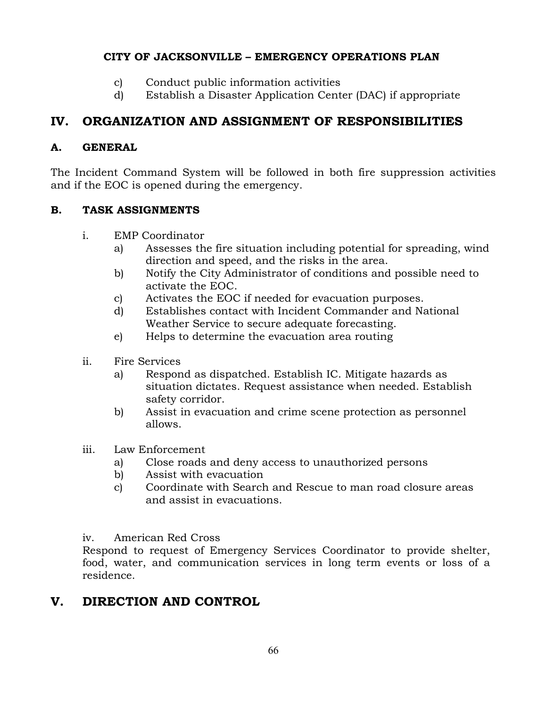- c) Conduct public information activities
- d) Establish a Disaster Application Center (DAC) if appropriate

## **IV. ORGANIZATION AND ASSIGNMENT OF RESPONSIBILITIES**

## **A. GENERAL**

The Incident Command System will be followed in both fire suppression activities and if the EOC is opened during the emergency.

## **B. TASK ASSIGNMENTS**

- i. EMP Coordinator
	- a) Assesses the fire situation including potential for spreading, wind direction and speed, and the risks in the area.
	- b) Notify the City Administrator of conditions and possible need to activate the EOC.
	- c) Activates the EOC if needed for evacuation purposes.
	- d) Establishes contact with Incident Commander and National Weather Service to secure adequate forecasting.
	- e) Helps to determine the evacuation area routing
- ii. Fire Services
	- a) Respond as dispatched. Establish IC. Mitigate hazards as situation dictates. Request assistance when needed. Establish safety corridor.
	- b) Assist in evacuation and crime scene protection as personnel allows.
- iii. Law Enforcement
	- a) Close roads and deny access to unauthorized persons
	- b) Assist with evacuation
	- c) Coordinate with Search and Rescue to man road closure areas and assist in evacuations.

iv. American Red Cross

Respond to request of Emergency Services Coordinator to provide shelter, food, water, and communication services in long term events or loss of a residence.

## **V. DIRECTION AND CONTROL**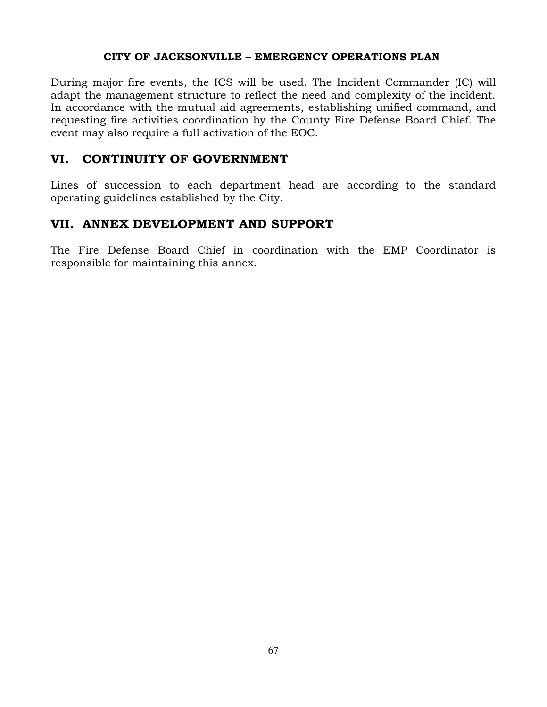During major fire events, the ICS will be used. The Incident Commander (IC) will adapt the management structure to reflect the need and complexity of the incident. In accordance with the mutual aid agreements, establishing unified command, and requesting fire activities coordination by the County Fire Defense Board Chief. The event may also require a full activation of the EOC.

## **VI. CONTINUITY OF GOVERNMENT**

Lines of succession to each department head are according to the standard operating guidelines established by the City.

## **VII. ANNEX DEVELOPMENT AND SUPPORT**

The Fire Defense Board Chief in coordination with the EMP Coordinator is responsible for maintaining this annex.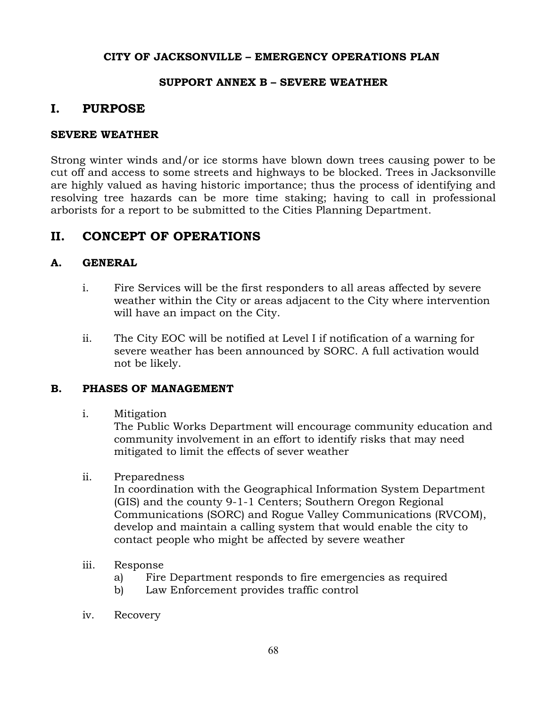#### **SUPPORT ANNEX B – SEVERE WEATHER**

## **I. PURPOSE**

#### **SEVERE WEATHER**

Strong winter winds and/or ice storms have blown down trees causing power to be cut off and access to some streets and highways to be blocked. Trees in Jacksonville are highly valued as having historic importance; thus the process of identifying and resolving tree hazards can be more time staking; having to call in professional arborists for a report to be submitted to the Cities Planning Department.

## **II. CONCEPT OF OPERATIONS**

## **A. GENERAL**

- i. Fire Services will be the first responders to all areas affected by severe weather within the City or areas adjacent to the City where intervention will have an impact on the City.
- ii. The City EOC will be notified at Level I if notification of a warning for severe weather has been announced by SORC. A full activation would not be likely.

#### **B. PHASES OF MANAGEMENT**

i. Mitigation

The Public Works Department will encourage community education and community involvement in an effort to identify risks that may need mitigated to limit the effects of sever weather

ii. Preparedness

In coordination with the Geographical Information System Department (GIS) and the county 9-1-1 Centers; Southern Oregon Regional Communications (SORC) and Rogue Valley Communications (RVCOM), develop and maintain a calling system that would enable the city to contact people who might be affected by severe weather

- iii. Response
	- a) Fire Department responds to fire emergencies as required
	- b) Law Enforcement provides traffic control
- iv. Recovery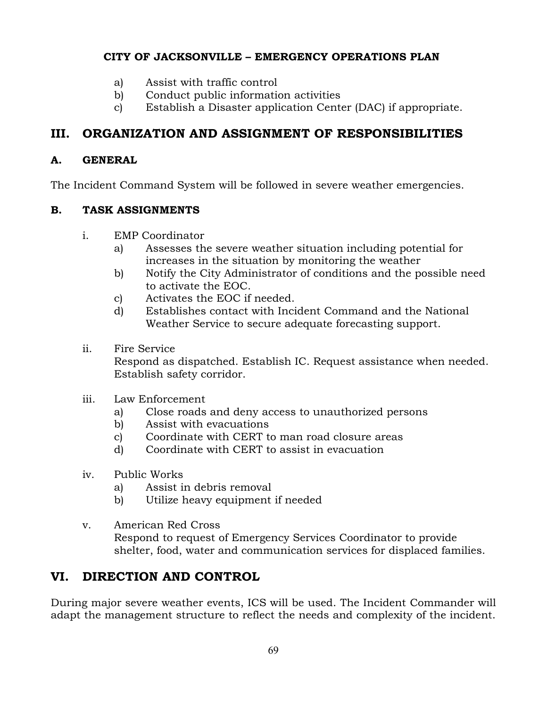- a) Assist with traffic control
- b) Conduct public information activities
- c) Establish a Disaster application Center (DAC) if appropriate.

## **III. ORGANIZATION AND ASSIGNMENT OF RESPONSIBILITIES**

## **A. GENERAL**

The Incident Command System will be followed in severe weather emergencies.

## **B. TASK ASSIGNMENTS**

- i. EMP Coordinator
	- a) Assesses the severe weather situation including potential for increases in the situation by monitoring the weather
	- b) Notify the City Administrator of conditions and the possible need to activate the EOC.
	- c) Activates the EOC if needed.
	- d) Establishes contact with Incident Command and the National Weather Service to secure adequate forecasting support.
- ii. Fire Service

Respond as dispatched. Establish IC. Request assistance when needed. Establish safety corridor.

- iii. Law Enforcement
	- a) Close roads and deny access to unauthorized persons
	- b) Assist with evacuations
	- c) Coordinate with CERT to man road closure areas
	- d) Coordinate with CERT to assist in evacuation
- iv. Public Works
	- a) Assist in debris removal
	- b) Utilize heavy equipment if needed
- v. American Red Cross Respond to request of Emergency Services Coordinator to provide shelter, food, water and communication services for displaced families.

## **VI. DIRECTION AND CONTROL**

During major severe weather events, ICS will be used. The Incident Commander will adapt the management structure to reflect the needs and complexity of the incident.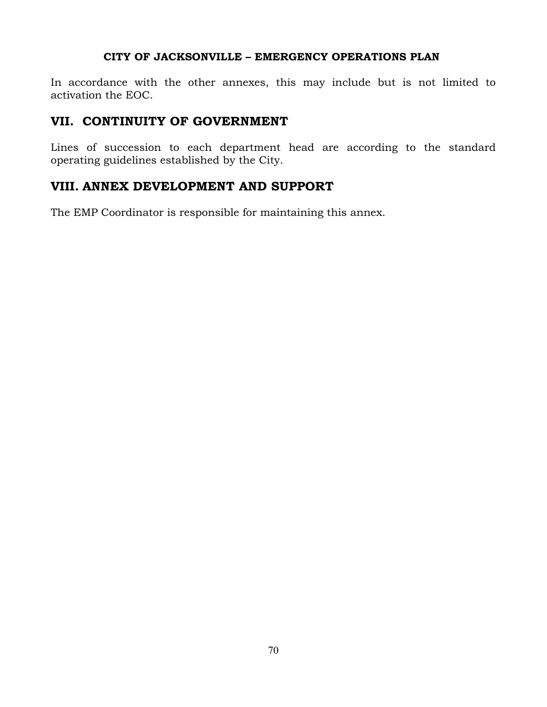In accordance with the other annexes, this may include but is not limited to activation the EOC.

## **VII. CONTINUITY OF GOVERNMENT**

Lines of succession to each department head are according to the standard operating guidelines established by the City.

## **VIII. ANNEX DEVELOPMENT AND SUPPORT**

The EMP Coordinator is responsible for maintaining this annex.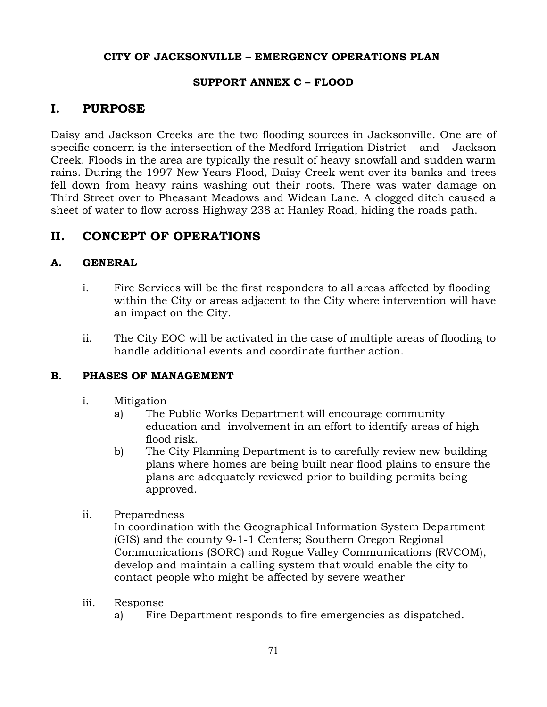#### **SUPPORT ANNEX C – FLOOD**

## **I. PURPOSE**

Daisy and Jackson Creeks are the two flooding sources in Jacksonville. One are of specific concern is the intersection of the Medford Irrigation District and Jackson Creek. Floods in the area are typically the result of heavy snowfall and sudden warm rains. During the 1997 New Years Flood, Daisy Creek went over its banks and trees fell down from heavy rains washing out their roots. There was water damage on Third Street over to Pheasant Meadows and Widean Lane. A clogged ditch caused a sheet of water to flow across Highway 238 at Hanley Road, hiding the roads path.

## **II. CONCEPT OF OPERATIONS**

## **A. GENERAL**

- i. Fire Services will be the first responders to all areas affected by flooding within the City or areas adjacent to the City where intervention will have an impact on the City.
- ii. The City EOC will be activated in the case of multiple areas of flooding to handle additional events and coordinate further action.

#### **B. PHASES OF MANAGEMENT**

- i. Mitigation
	- a) The Public Works Department will encourage community education and involvement in an effort to identify areas of high flood risk.
	- b) The City Planning Department is to carefully review new building plans where homes are being built near flood plains to ensure the plans are adequately reviewed prior to building permits being approved.
- ii. Preparedness

In coordination with the Geographical Information System Department (GIS) and the county 9-1-1 Centers; Southern Oregon Regional Communications (SORC) and Rogue Valley Communications (RVCOM), develop and maintain a calling system that would enable the city to contact people who might be affected by severe weather

- iii. Response
	- a) Fire Department responds to fire emergencies as dispatched.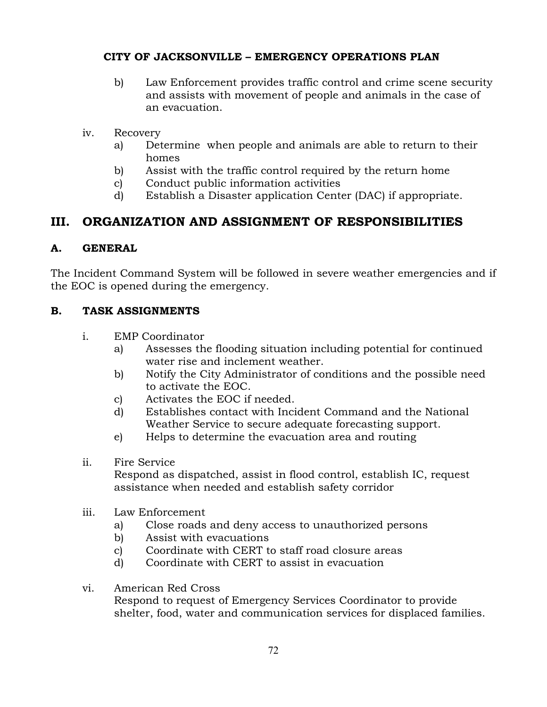- b) Law Enforcement provides traffic control and crime scene security and assists with movement of people and animals in the case of an evacuation.
- iv. Recovery
	- a) Determine when people and animals are able to return to their homes
	- b) Assist with the traffic control required by the return home
	- c) Conduct public information activities
	- d) Establish a Disaster application Center (DAC) if appropriate.

## **III. ORGANIZATION AND ASSIGNMENT OF RESPONSIBILITIES**

## **A. GENERAL**

The Incident Command System will be followed in severe weather emergencies and if the EOC is opened during the emergency.

## **B. TASK ASSIGNMENTS**

- i. EMP Coordinator
	- a) Assesses the flooding situation including potential for continued water rise and inclement weather.
	- b) Notify the City Administrator of conditions and the possible need to activate the EOC.
	- c) Activates the EOC if needed.
	- d) Establishes contact with Incident Command and the National Weather Service to secure adequate forecasting support.
	- e) Helps to determine the evacuation area and routing
- ii. Fire Service

Respond as dispatched, assist in flood control, establish IC, request assistance when needed and establish safety corridor

- iii. Law Enforcement
	- a) Close roads and deny access to unauthorized persons
	- b) Assist with evacuations
	- c) Coordinate with CERT to staff road closure areas
	- d) Coordinate with CERT to assist in evacuation
- vi. American Red Cross Respond to request of Emergency Services Coordinator to provide shelter, food, water and communication services for displaced families.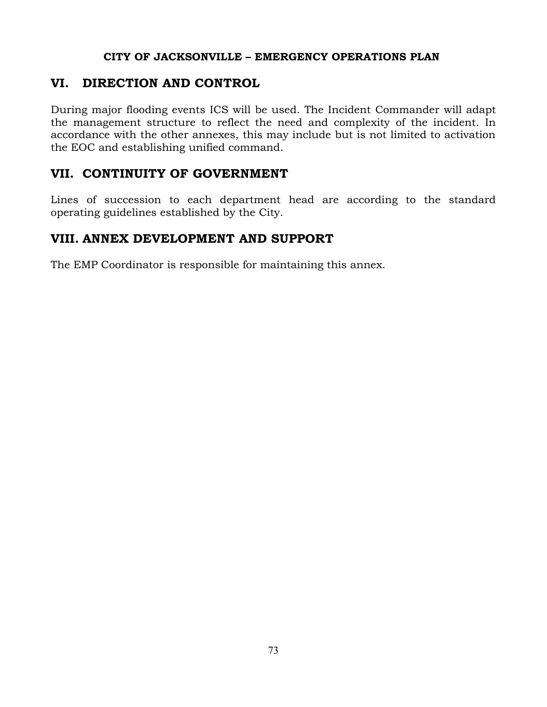## **VI. DIRECTION AND CONTROL**

During major flooding events ICS will be used. The Incident Commander will adapt the management structure to reflect the need and complexity of the incident. In accordance with the other annexes, this may include but is not limited to activation the EOC and establishing unified command.

## **VII. CONTINUITY OF GOVERNMENT**

Lines of succession to each department head are according to the standard operating guidelines established by the City.

## **VIII. ANNEX DEVELOPMENT AND SUPPORT**

The EMP Coordinator is responsible for maintaining this annex.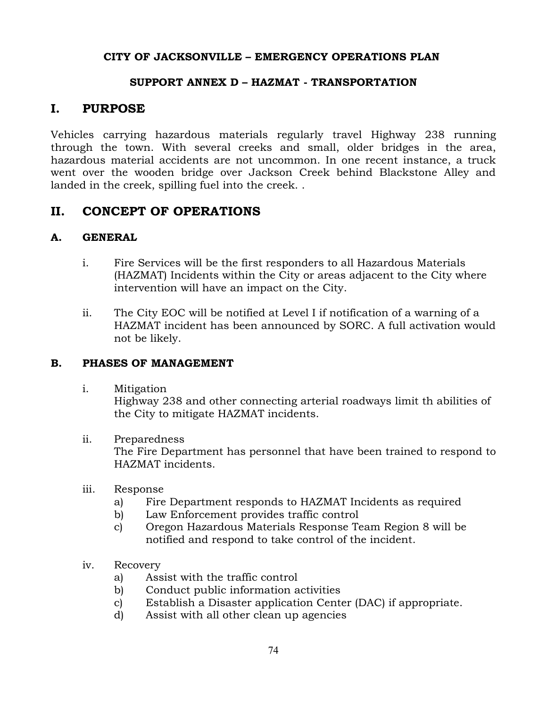### **SUPPORT ANNEX D – HAZMAT - TRANSPORTATION**

### **I. PURPOSE**

Vehicles carrying hazardous materials regularly travel Highway 238 running through the town. With several creeks and small, older bridges in the area, hazardous material accidents are not uncommon. In one recent instance, a truck went over the wooden bridge over Jackson Creek behind Blackstone Alley and landed in the creek, spilling fuel into the creek. .

### **II. CONCEPT OF OPERATIONS**

#### **A. GENERAL**

- i. Fire Services will be the first responders to all Hazardous Materials (HAZMAT) Incidents within the City or areas adjacent to the City where intervention will have an impact on the City.
- ii. The City EOC will be notified at Level I if notification of a warning of a HAZMAT incident has been announced by SORC. A full activation would not be likely.

#### **B. PHASES OF MANAGEMENT**

i. Mitigation

Highway 238 and other connecting arterial roadways limit th abilities of the City to mitigate HAZMAT incidents.

ii. Preparedness

The Fire Department has personnel that have been trained to respond to HAZMAT incidents.

- iii. Response
	- a) Fire Department responds to HAZMAT Incidents as required
	- b) Law Enforcement provides traffic control
	- c) Oregon Hazardous Materials Response Team Region 8 will be notified and respond to take control of the incident.
- iv. Recovery
	- a) Assist with the traffic control
	- b) Conduct public information activities
	- c) Establish a Disaster application Center (DAC) if appropriate.
	- d) Assist with all other clean up agencies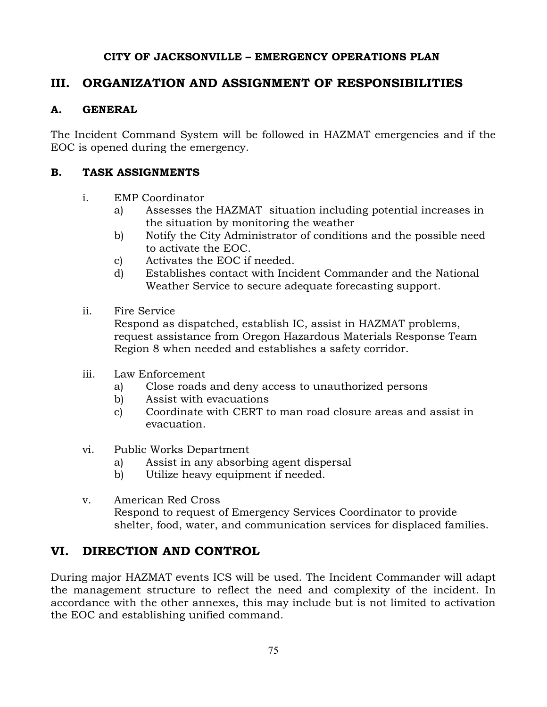## **III. ORGANIZATION AND ASSIGNMENT OF RESPONSIBILITIES**

### **A. GENERAL**

The Incident Command System will be followed in HAZMAT emergencies and if the EOC is opened during the emergency.

### **B. TASK ASSIGNMENTS**

- i. EMP Coordinator
	- a) Assesses the HAZMAT situation including potential increases in the situation by monitoring the weather
	- b) Notify the City Administrator of conditions and the possible need to activate the EOC.
	- c) Activates the EOC if needed.
	- d) Establishes contact with Incident Commander and the National Weather Service to secure adequate forecasting support.
- ii. Fire Service

Respond as dispatched, establish IC, assist in HAZMAT problems, request assistance from Oregon Hazardous Materials Response Team Region 8 when needed and establishes a safety corridor.

- iii. Law Enforcement
	- a) Close roads and deny access to unauthorized persons
	- b) Assist with evacuations
	- c) Coordinate with CERT to man road closure areas and assist in evacuation.
- vi. Public Works Department
	- a) Assist in any absorbing agent dispersal
	- b) Utilize heavy equipment if needed.
- v. American Red Cross Respond to request of Emergency Services Coordinator to provide shelter, food, water, and communication services for displaced families.

## **VI. DIRECTION AND CONTROL**

During major HAZMAT events ICS will be used. The Incident Commander will adapt the management structure to reflect the need and complexity of the incident. In accordance with the other annexes, this may include but is not limited to activation the EOC and establishing unified command.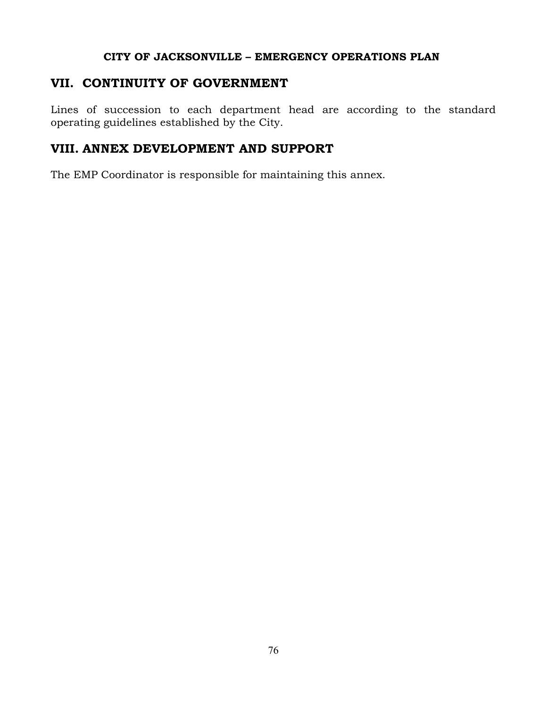### **VII. CONTINUITY OF GOVERNMENT**

Lines of succession to each department head are according to the standard operating guidelines established by the City.

## **VIII. ANNEX DEVELOPMENT AND SUPPORT**

The EMP Coordinator is responsible for maintaining this annex.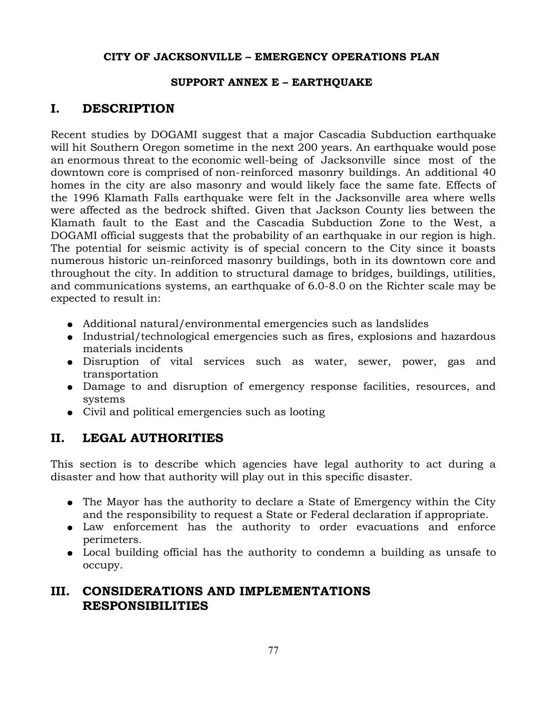### **SUPPORT ANNEX E – EARTHQUAKE**

## **I. DESCRIPTION**

Recent studies by DOGAMI suggest that a major Cascadia Subduction earthquake will hit Southern Oregon sometime in the next 200 years. An earthquake would pose an enormous threat to the economic well-being of Jacksonville since most of the downtown core is comprised of non-reinforced masonry buildings. An additional 40 homes in the city are also masonry and would likely face the same fate. Effects of the 1996 Klamath Falls earthquake were felt in the Jacksonville area where wells were affected as the bedrock shifted. Given that Jackson County lies between the Klamath fault to the East and the Cascadia Subduction Zone to the West, a DOGAMI official suggests that the probability of an earthquake in our region is high. The potential for seismic activity is of special concern to the City since it boasts numerous historic un-reinforced masonry buildings, both in its downtown core and throughout the city. In addition to structural damage to bridges, buildings, utilities, and communications systems, an earthquake of 6.0-8.0 on the Richter scale may be expected to result in:

- Additional natural/environmental emergencies such as landslides
- Industrial/technological emergencies such as fires, explosions and hazardous materials incidents
- Disruption of vital services such as water, sewer, power, gas and transportation
- Damage to and disruption of emergency response facilities, resources, and systems
- Civil and political emergencies such as looting

## **II. LEGAL AUTHORITIES**

This section is to describe which agencies have legal authority to act during a disaster and how that authority will play out in this specific disaster.

- The Mayor has the authority to declare a State of Emergency within the City and the responsibility to request a State or Federal declaration if appropriate.
- Law enforcement has the authority to order evacuations and enforce perimeters.
- Local building official has the authority to condemn a building as unsafe to occupy.

## **III. CONSIDERATIONS AND IMPLEMENTATIONS RESPONSIBILITIES**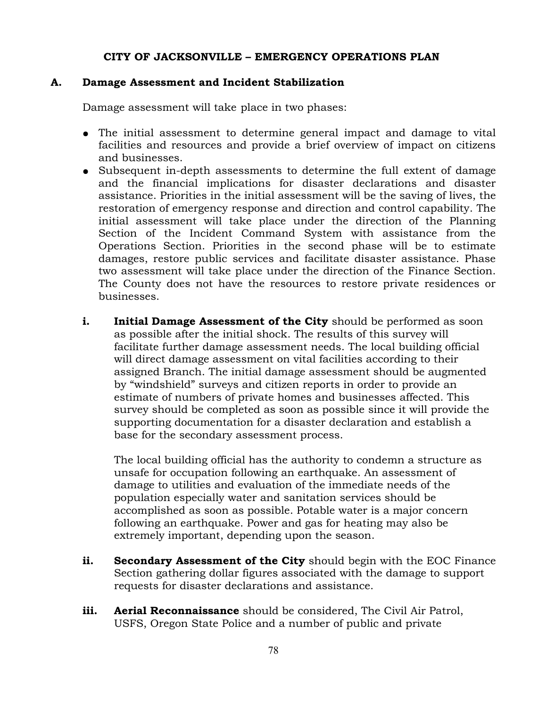#### **A. Damage Assessment and Incident Stabilization**

Damage assessment will take place in two phases:

- The initial assessment to determine general impact and damage to vital facilities and resources and provide a brief overview of impact on citizens and businesses.
- Subsequent in-depth assessments to determine the full extent of damage and the financial implications for disaster declarations and disaster assistance. Priorities in the initial assessment will be the saving of lives, the restoration of emergency response and direction and control capability. The initial assessment will take place under the direction of the Planning Section of the Incident Command System with assistance from the Operations Section. Priorities in the second phase will be to estimate damages, restore public services and facilitate disaster assistance. Phase two assessment will take place under the direction of the Finance Section. The County does not have the resources to restore private residences or businesses.
- **i.** Initial Damage Assessment of the City should be performed as soon as possible after the initial shock. The results of this survey will facilitate further damage assessment needs. The local building official will direct damage assessment on vital facilities according to their assigned Branch. The initial damage assessment should be augmented by "windshield" surveys and citizen reports in order to provide an estimate of numbers of private homes and businesses affected. This survey should be completed as soon as possible since it will provide the supporting documentation for a disaster declaration and establish a base for the secondary assessment process.

The local building official has the authority to condemn a structure as unsafe for occupation following an earthquake. An assessment of damage to utilities and evaluation of the immediate needs of the population especially water and sanitation services should be accomplished as soon as possible. Potable water is a major concern following an earthquake. Power and gas for heating may also be extremely important, depending upon the season.

- **ii. Secondary Assessment of the City** should begin with the EOC Finance Section gathering dollar figures associated with the damage to support requests for disaster declarations and assistance.
- **iii. Aerial Reconnaissance** should be considered, The Civil Air Patrol, USFS, Oregon State Police and a number of public and private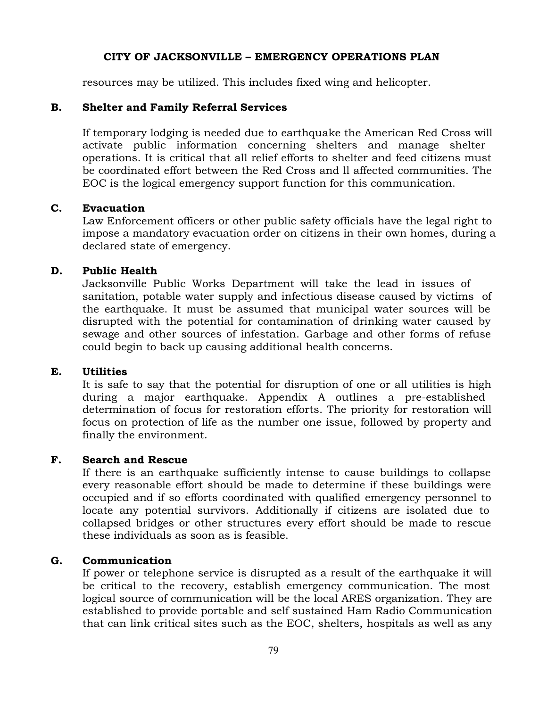resources may be utilized. This includes fixed wing and helicopter.

#### **B. Shelter and Family Referral Services**

If temporary lodging is needed due to earthquake the American Red Cross will activate public information concerning shelters and manage shelter operations. It is critical that all relief efforts to shelter and feed citizens must be coordinated effort between the Red Cross and ll affected communities. The EOC is the logical emergency support function for this communication.

#### **C. Evacuation**

Law Enforcement officers or other public safety officials have the legal right to impose a mandatory evacuation order on citizens in their own homes, during a declared state of emergency.

#### **D. Public Health**

Jacksonville Public Works Department will take the lead in issues of sanitation, potable water supply and infectious disease caused by victims of the earthquake. It must be assumed that municipal water sources will be disrupted with the potential for contamination of drinking water caused by sewage and other sources of infestation. Garbage and other forms of refuse could begin to back up causing additional health concerns.

#### **E. Utilities**

It is safe to say that the potential for disruption of one or all utilities is high during a major earthquake. Appendix A outlines a pre-established determination of focus for restoration efforts. The priority for restoration will focus on protection of life as the number one issue, followed by property and finally the environment.

#### **F. Search and Rescue**

If there is an earthquake sufficiently intense to cause buildings to collapse every reasonable effort should be made to determine if these buildings were occupied and if so efforts coordinated with qualified emergency personnel to locate any potential survivors. Additionally if citizens are isolated due to collapsed bridges or other structures every effort should be made to rescue these individuals as soon as is feasible.

#### **G. Communication**

If power or telephone service is disrupted as a result of the earthquake it will be critical to the recovery, establish emergency communication. The most logical source of communication will be the local ARES organization. They are established to provide portable and self sustained Ham Radio Communication that can link critical sites such as the EOC, shelters, hospitals as well as any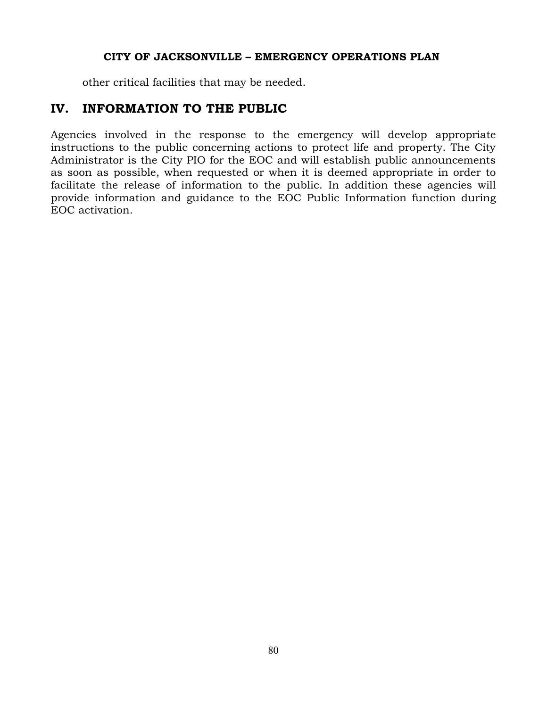other critical facilities that may be needed.

## **IV. INFORMATION TO THE PUBLIC**

Agencies involved in the response to the emergency will develop appropriate instructions to the public concerning actions to protect life and property. The City Administrator is the City PIO for the EOC and will establish public announcements as soon as possible, when requested or when it is deemed appropriate in order to facilitate the release of information to the public. In addition these agencies will provide information and guidance to the EOC Public Information function during EOC activation.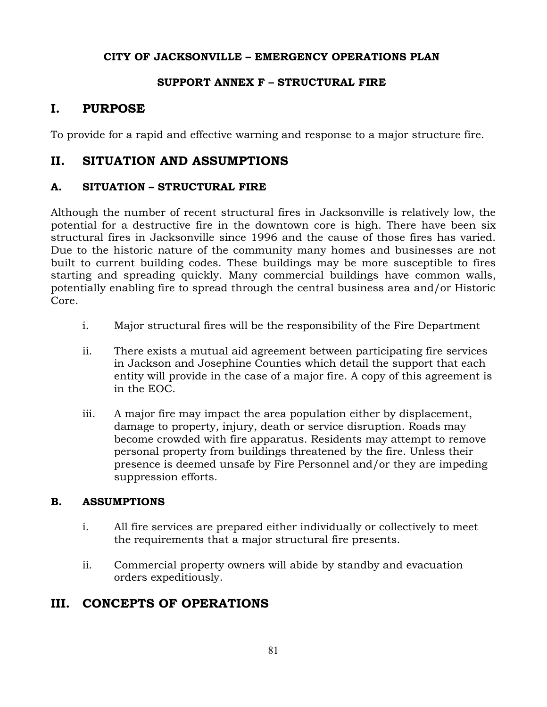### **SUPPORT ANNEX F – STRUCTURAL FIRE**

## **I. PURPOSE**

To provide for a rapid and effective warning and response to a major structure fire.

## **II. SITUATION AND ASSUMPTIONS**

### **A. SITUATION – STRUCTURAL FIRE**

Although the number of recent structural fires in Jacksonville is relatively low, the potential for a destructive fire in the downtown core is high. There have been six structural fires in Jacksonville since 1996 and the cause of those fires has varied. Due to the historic nature of the community many homes and businesses are not built to current building codes. These buildings may be more susceptible to fires starting and spreading quickly. Many commercial buildings have common walls, potentially enabling fire to spread through the central business area and/or Historic Core.

- i. Major structural fires will be the responsibility of the Fire Department
- ii. There exists a mutual aid agreement between participating fire services in Jackson and Josephine Counties which detail the support that each entity will provide in the case of a major fire. A copy of this agreement is in the EOC.
- iii. A major fire may impact the area population either by displacement, damage to property, injury, death or service disruption. Roads may become crowded with fire apparatus. Residents may attempt to remove personal property from buildings threatened by the fire. Unless their presence is deemed unsafe by Fire Personnel and/or they are impeding suppression efforts.

### **B. ASSUMPTIONS**

- i. All fire services are prepared either individually or collectively to meet the requirements that a major structural fire presents.
- ii. Commercial property owners will abide by standby and evacuation orders expeditiously.

## **III. CONCEPTS OF OPERATIONS**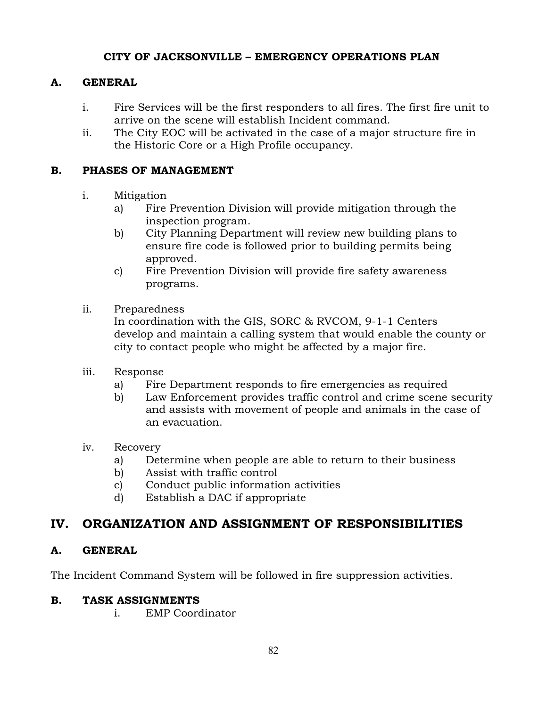### **A. GENERAL**

- i. Fire Services will be the first responders to all fires. The first fire unit to arrive on the scene will establish Incident command.
- ii. The City EOC will be activated in the case of a major structure fire in the Historic Core or a High Profile occupancy.

### **B. PHASES OF MANAGEMENT**

- i. Mitigation
	- a) Fire Prevention Division will provide mitigation through the inspection program.
	- b) City Planning Department will review new building plans to ensure fire code is followed prior to building permits being approved.
	- c) Fire Prevention Division will provide fire safety awareness programs.
- ii. Preparedness

In coordination with the GIS, SORC & RVCOM, 9-1-1 Centers develop and maintain a calling system that would enable the county or city to contact people who might be affected by a major fire.

- iii. Response
	- a) Fire Department responds to fire emergencies as required
	- b) Law Enforcement provides traffic control and crime scene security and assists with movement of people and animals in the case of an evacuation.
- iv. Recovery
	- a) Determine when people are able to return to their business
	- b) Assist with traffic control
	- c) Conduct public information activities
	- d) Establish a DAC if appropriate

## **IV. ORGANIZATION AND ASSIGNMENT OF RESPONSIBILITIES**

### **A. GENERAL**

The Incident Command System will be followed in fire suppression activities.

### **B. TASK ASSIGNMENTS**

i. EMP Coordinator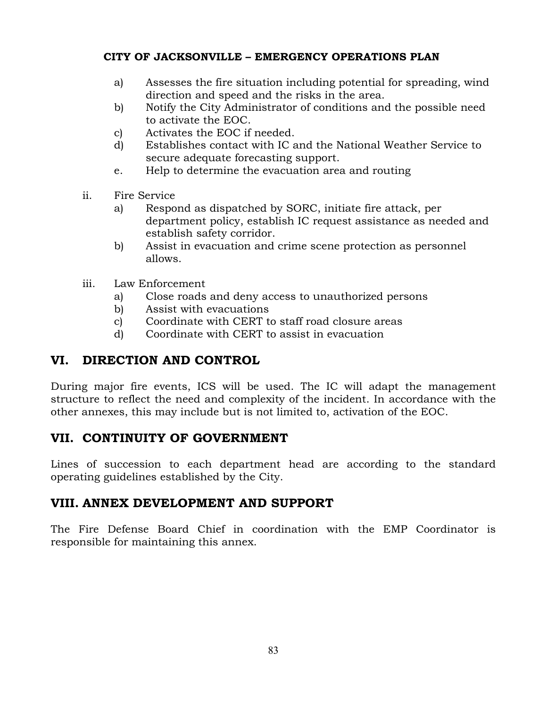- a) Assesses the fire situation including potential for spreading, wind direction and speed and the risks in the area.
- b) Notify the City Administrator of conditions and the possible need to activate the EOC.
- c) Activates the EOC if needed.
- d) Establishes contact with IC and the National Weather Service to secure adequate forecasting support.
- e. Help to determine the evacuation area and routing
- ii. Fire Service
	- a) Respond as dispatched by SORC, initiate fire attack, per department policy, establish IC request assistance as needed and establish safety corridor.
	- b) Assist in evacuation and crime scene protection as personnel allows.
- iii. Law Enforcement
	- a) Close roads and deny access to unauthorized persons
	- b) Assist with evacuations
	- c) Coordinate with CERT to staff road closure areas
	- d) Coordinate with CERT to assist in evacuation

## **VI. DIRECTION AND CONTROL**

During major fire events, ICS will be used. The IC will adapt the management structure to reflect the need and complexity of the incident. In accordance with the other annexes, this may include but is not limited to, activation of the EOC.

## **VII. CONTINUITY OF GOVERNMENT**

Lines of succession to each department head are according to the standard operating guidelines established by the City.

## **VIII. ANNEX DEVELOPMENT AND SUPPORT**

The Fire Defense Board Chief in coordination with the EMP Coordinator is responsible for maintaining this annex.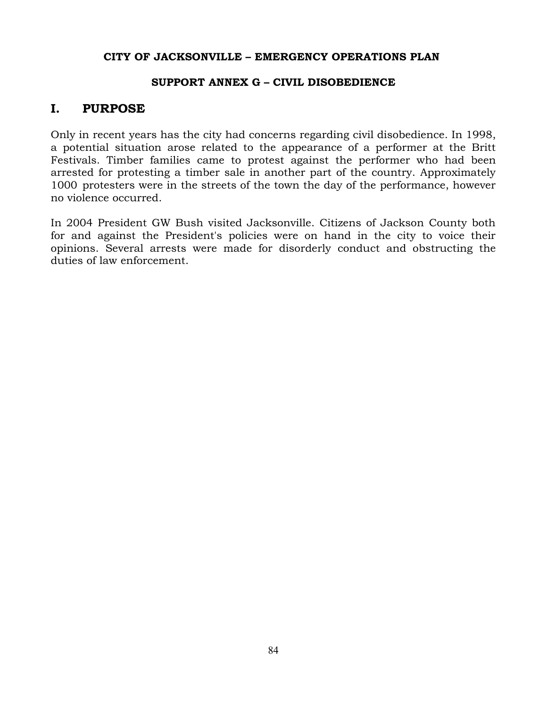#### **SUPPORT ANNEX G – CIVIL DISOBEDIENCE**

## **I. PURPOSE**

Only in recent years has the city had concerns regarding civil disobedience. In 1998, a potential situation arose related to the appearance of a performer at the Britt Festivals. Timber families came to protest against the performer who had been arrested for protesting a timber sale in another part of the country. Approximately 1000 protesters were in the streets of the town the day of the performance, however no violence occurred.

In 2004 President GW Bush visited Jacksonville. Citizens of Jackson County both for and against the President's policies were on hand in the city to voice their opinions. Several arrests were made for disorderly conduct and obstructing the duties of law enforcement.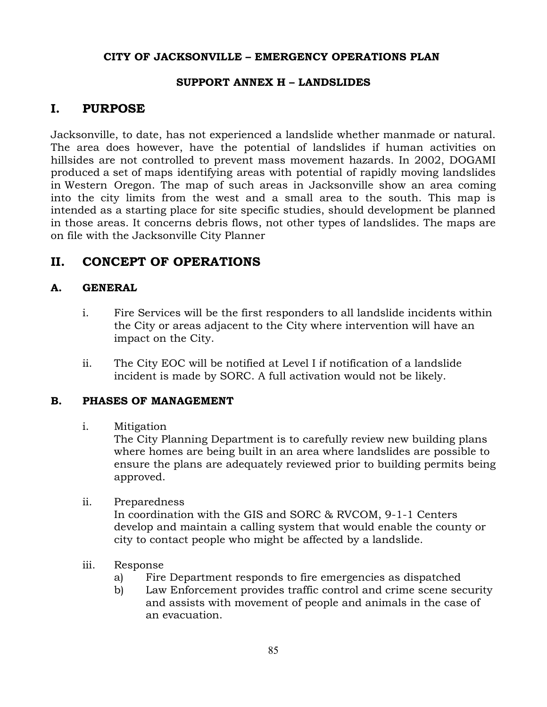### **SUPPORT ANNEX H – LANDSLIDES**

## **I. PURPOSE**

Jacksonville, to date, has not experienced a landslide whether manmade or natural. The area does however, have the potential of landslides if human activities on hillsides are not controlled to prevent mass movement hazards. In 2002, DOGAMI produced a set of maps identifying areas with potential of rapidly moving landslides in Western Oregon. The map of such areas in Jacksonville show an area coming into the city limits from the west and a small area to the south. This map is intended as a starting place for site specific studies, should development be planned in those areas. It concerns debris flows, not other types of landslides. The maps are on file with the Jacksonville City Planner

## **II. CONCEPT OF OPERATIONS**

### **A. GENERAL**

- i. Fire Services will be the first responders to all landslide incidents within the City or areas adjacent to the City where intervention will have an impact on the City.
- ii. The City EOC will be notified at Level I if notification of a landslide incident is made by SORC. A full activation would not be likely.

### **B. PHASES OF MANAGEMENT**

### i. Mitigation

The City Planning Department is to carefully review new building plans where homes are being built in an area where landslides are possible to ensure the plans are adequately reviewed prior to building permits being approved.

ii. Preparedness

In coordination with the GIS and SORC & RVCOM, 9-1-1 Centers develop and maintain a calling system that would enable the county or city to contact people who might be affected by a landslide.

- iii. Response
	- a) Fire Department responds to fire emergencies as dispatched
	- b) Law Enforcement provides traffic control and crime scene security and assists with movement of people and animals in the case of an evacuation.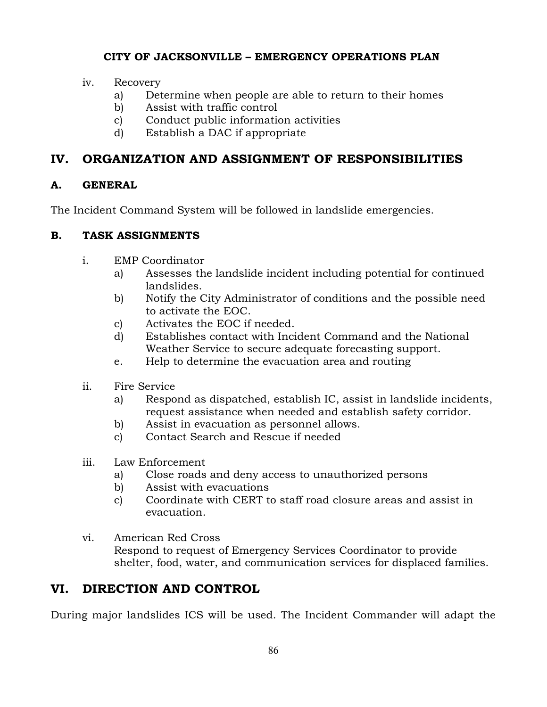- iv. Recovery
	- a) Determine when people are able to return to their homes
	- b) Assist with traffic control
	- c) Conduct public information activities
	- d) Establish a DAC if appropriate

# **IV. ORGANIZATION AND ASSIGNMENT OF RESPONSIBILITIES**

## **A. GENERAL**

The Incident Command System will be followed in landslide emergencies.

## **B. TASK ASSIGNMENTS**

- i. EMP Coordinator
	- a) Assesses the landslide incident including potential for continued landslides.
	- b) Notify the City Administrator of conditions and the possible need to activate the EOC.
	- c) Activates the EOC if needed.
	- d) Establishes contact with Incident Command and the National Weather Service to secure adequate forecasting support.
	- e. Help to determine the evacuation area and routing
- ii. Fire Service
	- a) Respond as dispatched, establish IC, assist in landslide incidents, request assistance when needed and establish safety corridor.
	- b) Assist in evacuation as personnel allows.
	- c) Contact Search and Rescue if needed
- iii. Law Enforcement
	- a) Close roads and deny access to unauthorized persons
	- b) Assist with evacuations
	- c) Coordinate with CERT to staff road closure areas and assist in evacuation.
- vi. American Red Cross Respond to request of Emergency Services Coordinator to provide shelter, food, water, and communication services for displaced families.

# **VI. DIRECTION AND CONTROL**

During major landslides ICS will be used. The Incident Commander will adapt the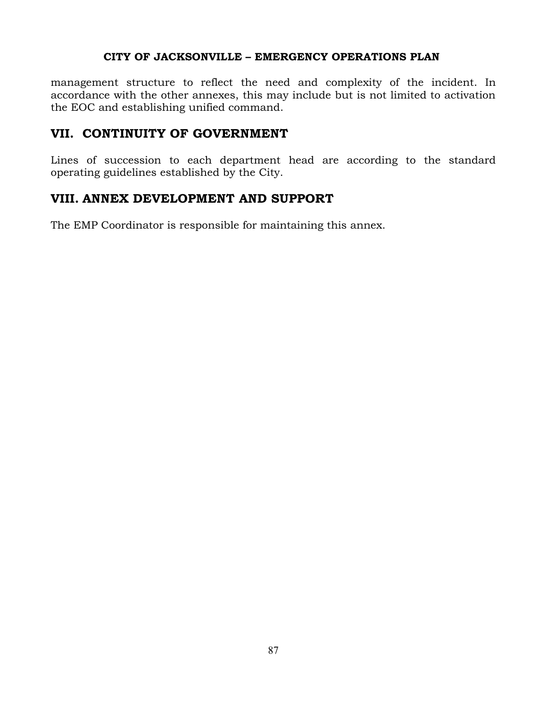management structure to reflect the need and complexity of the incident. In accordance with the other annexes, this may include but is not limited to activation the EOC and establishing unified command.

### **VII. CONTINUITY OF GOVERNMENT**

Lines of succession to each department head are according to the standard operating guidelines established by the City.

## **VIII. ANNEX DEVELOPMENT AND SUPPORT**

The EMP Coordinator is responsible for maintaining this annex.